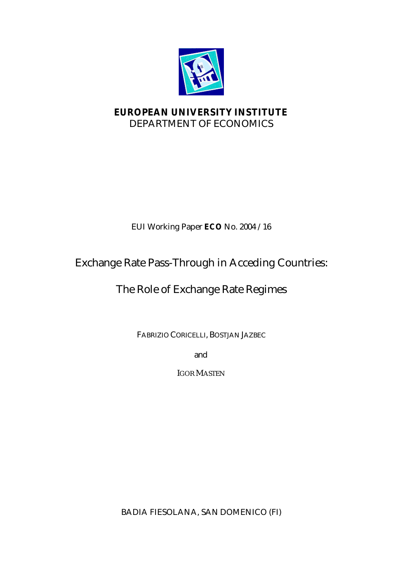

# **EUROPEAN UNIVERSITY INSTITUTE** DEPARTMENT OF ECONOMICS

# EUI Working Paper **ECO** No. 2004 /16

# Exchange Rate Pass-Through in Acceding Countries:

# The Role of Exchange Rate Regimes

FABRIZIO CORICELLI, BOSTJAN JAZBEC

and

IGOR MASTEN

BADIA FIESOLANA, SAN DOMENICO (FI)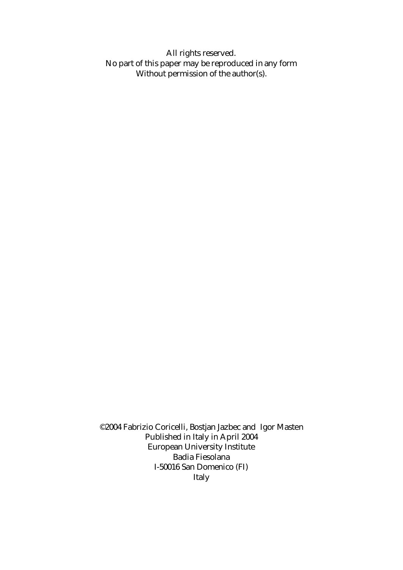All rights reserved. No part of this paper may be reproduced in any form Without permission of the author(s).

©2004 Fabrizio Coricelli, Bostjan Jazbec and Igor Masten Published in Italy in April 2004 European University Institute Badia Fiesolana I-50016 San Domenico (FI) Italy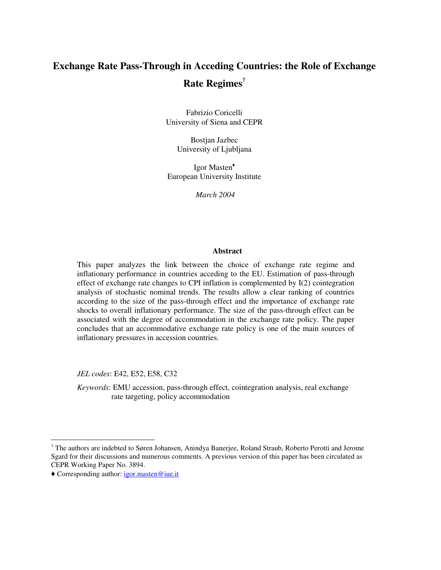# **Exchange Rate Pass-Through in Acceding Countries: the Role of Exchange Rate Regimes †**

Fabrizio Coricelli University of Siena and CEPR

> Bostjan Jazbec University of Ljubljana

Igor Masten European University Institute

*March 2004*

#### **Abstract**

This paper analyzes the link between the choice of exchange rate regime and inflationary performance in countries acceding to the EU. Estimation of pass-through effect of exchange rate changes to CPI inflation is complemented by I(2) cointegration analysis of stochastic nominal trends. The results allow a clear ranking of countries according to the size of the pass-through effect and the importance of exchange rate shocks to overall inflationary performance. The size of the pass-through effect can be associated with the degree of accommodation in the exchange rate policy. The paper concludes that an accommodative exchange rate policy is one of the main sources of inflationary pressures in accession countries.

*JEL codes*: E42, E52, E58, C32

*Keywords*: EMU accession, pass-through effect, cointegration analysis, real exchange rate targeting, policy accommodation

<sup>†</sup> The authors are indebted to Søren Johansen, Anindya Banerjee, Roland Straub, Roberto Perotti and Jerome Sgard for their discussions and numerous comments. A previous version of this paper has been circulated as CEPR Working Paper No. 3894.

Corresponding author: igor.masten@iue.it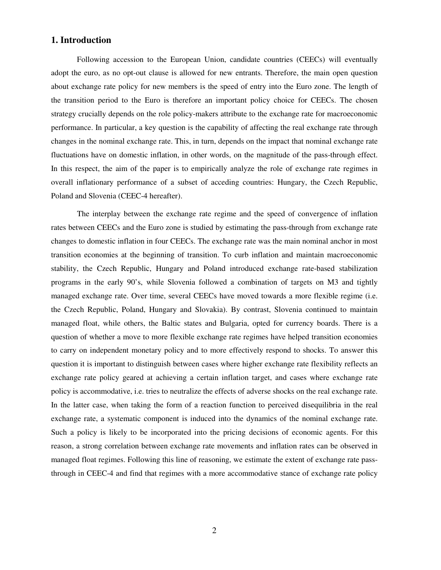## **1. Introduction**

Following accession to the European Union, candidate countries (CEECs) will eventually adopt the euro, as no opt-out clause is allowed for new entrants. Therefore, the main open question about exchange rate policy for new members is the speed of entry into the Euro zone. The length of the transition period to the Euro is therefore an important policy choice for CEECs. The chosen strategy crucially depends on the role policy-makers attribute to the exchange rate for macroeconomic performance. In particular, a key question is the capability of affecting the real exchange rate through changes in the nominal exchange rate. This, in turn, depends on the impact that nominal exchange rate fluctuations have on domestic inflation, in other words, on the magnitude of the pass-through effect. In this respect, the aim of the paper is to empirically analyze the role of exchange rate regimes in overall inflationary performance of a subset of acceding countries: Hungary, the Czech Republic, Poland and Slovenia (CEEC-4 hereafter).

The interplay between the exchange rate regime and the speed of convergence of inflation rates between CEECs and the Euro zone is studied by estimating the pass-through from exchange rate changes to domestic inflation in four CEECs. The exchange rate was the main nominal anchor in most transition economies at the beginning of transition. To curb inflation and maintain macroeconomic stability, the Czech Republic, Hungary and Poland introduced exchange rate-based stabilization programs in the early 90's, while Slovenia followed a combination of targets on M3 and tightly managed exchange rate. Over time, several CEECs have moved towards a more flexible regime (i.e. the Czech Republic, Poland, Hungary and Slovakia). By contrast, Slovenia continued to maintain managed float, while others, the Baltic states and Bulgaria, opted for currency boards. There is a question of whether a move to more flexible exchange rate regimes have helped transition economies to carry on independent monetary policy and to more effectively respond to shocks. To answer this question it is important to distinguish between cases where higher exchange rate flexibility reflects an exchange rate policy geared at achieving a certain inflation target, and cases where exchange rate policy is accommodative, i.e. tries to neutralize the effects of adverse shocks on the real exchange rate. In the latter case, when taking the form of a reaction function to perceived disequilibria in the real exchange rate, a systematic component is induced into the dynamics of the nominal exchange rate. Such a policy is likely to be incorporated into the pricing decisions of economic agents. For this reason, a strong correlation between exchange rate movements and inflation rates can be observed in managed float regimes. Following this line of reasoning, we estimate the extent of exchange rate passthrough in CEEC-4 and find that regimes with a more accommodative stance of exchange rate policy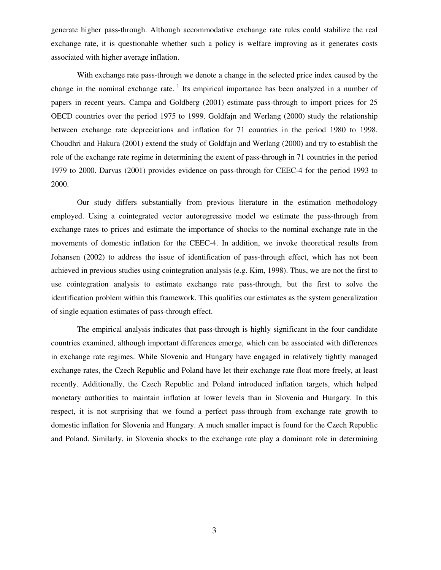generate higher pass-through. Although accommodative exchange rate rules could stabilize the real exchange rate, it is questionable whether such a policy is welfare improving as it generates costs associated with higher average inflation.

With exchange rate pass-through we denote a change in the selected price index caused by the change in the nominal exchange rate. <sup>1</sup> Its empirical importance has been analyzed in a number of papers in recent years. Campa and Goldberg (2001) estimate pass-through to import prices for 25 OECD countries over the period 1975 to 1999. Goldfajn and Werlang (2000) study the relationship between exchange rate depreciations and inflation for 71 countries in the period 1980 to 1998. Choudhri and Hakura (2001) extend the study of Goldfajn and Werlang (2000) and try to establish the role of the exchange rate regime in determining the extent of pass-through in 71 countries in the period 1979 to 2000. Darvas (2001) provides evidence on pass-through for CEEC-4 for the period 1993 to 2000.

Our study differs substantially from previous literature in the estimation methodology employed. Using a cointegrated vector autoregressive model we estimate the pass-through from exchange rates to prices and estimate the importance of shocks to the nominal exchange rate in the movements of domestic inflation for the CEEC-4. In addition, we invoke theoretical results from Johansen (2002) to address the issue of identification of pass-through effect, which has not been achieved in previous studies using cointegration analysis (e.g. Kim, 1998). Thus, we are not the first to use cointegration analysis to estimate exchange rate pass-through, but the first to solve the identification problem within this framework. This qualifies our estimates as the system generalization of single equation estimates of pass-through effect.

The empirical analysis indicates that pass-through is highly significant in the four candidate countries examined, although important differences emerge, which can be associated with differences in exchange rate regimes. While Slovenia and Hungary have engaged in relatively tightly managed exchange rates, the Czech Republic and Poland have let their exchange rate float more freely, at least recently. Additionally, the Czech Republic and Poland introduced inflation targets, which helped monetary authorities to maintain inflation at lower levels than in Slovenia and Hungary. In this respect, it is not surprising that we found a perfect pass-through from exchange rate growth to domestic inflation for Slovenia and Hungary. A much smaller impact is found for the Czech Republic and Poland. Similarly, in Slovenia shocks to the exchange rate play a dominant role in determining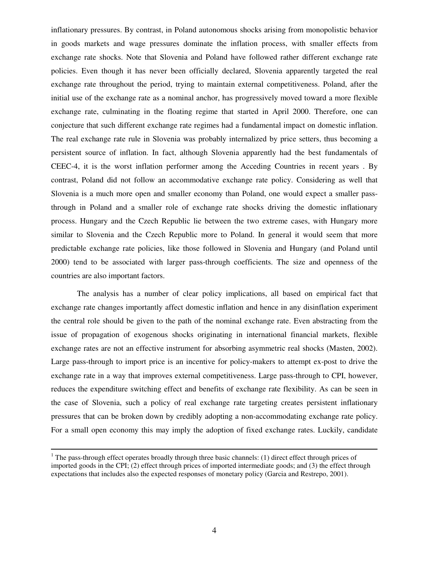inflationary pressures. By contrast, in Poland autonomous shocks arising from monopolistic behavior in goods markets and wage pressures dominate the inflation process, with smaller effects from exchange rate shocks. Note that Slovenia and Poland have followed rather different exchange rate policies. Even though it has never been officially declared, Slovenia apparently targeted the real exchange rate throughout the period, trying to maintain external competitiveness. Poland, after the initial use of the exchange rate as a nominal anchor, has progressively moved toward a more flexible exchange rate, culminating in the floating regime that started in April 2000. Therefore, one can conjecture that such different exchange rate regimes had a fundamental impact on domestic inflation. The real exchange rate rule in Slovenia was probably internalized by price setters, thus becoming a persistent source of inflation. In fact, although Slovenia apparently had the best fundamentals of CEEC-4, it is the worst inflation performer among the Acceding Countries in recent years . By contrast, Poland did not follow an accommodative exchange rate policy. Considering as well that Slovenia is a much more open and smaller economy than Poland, one would expect a smaller passthrough in Poland and a smaller role of exchange rate shocks driving the domestic inflationary process. Hungary and the Czech Republic lie between the two extreme cases, with Hungary more similar to Slovenia and the Czech Republic more to Poland. In general it would seem that more predictable exchange rate policies, like those followed in Slovenia and Hungary (and Poland until 2000) tend to be associated with larger pass-through coefficients. The size and openness of the countries are also important factors.

The analysis has a number of clear policy implications, all based on empirical fact that exchange rate changes importantly affect domestic inflation and hence in any disinflation experiment the central role should be given to the path of the nominal exchange rate. Even abstracting from the issue of propagation of exogenous shocks originating in international financial markets, flexible exchange rates are not an effective instrument for absorbing asymmetric real shocks (Masten, 2002). Large pass-through to import price is an incentive for policy-makers to attempt ex-post to drive the exchange rate in a way that improves external competitiveness. Large pass-through to CPI, however, reduces the expenditure switching effect and benefits of exchange rate flexibility. As can be seen in the case of Slovenia, such a policy of real exchange rate targeting creates persistent inflationary pressures that can be broken down by credibly adopting a non-accommodating exchange rate policy. For a small open economy this may imply the adoption of fixed exchange rates. Luckily, candidate

<sup>&</sup>lt;sup>1</sup> The pass-through effect operates broadly through three basic channels: (1) direct effect through prices of imported goods in the CPI; (2) effect through prices of imported intermediate goods; and (3) the effect through expectations that includes also the expected responses of monetary policy (Garcia and Restrepo, 2001).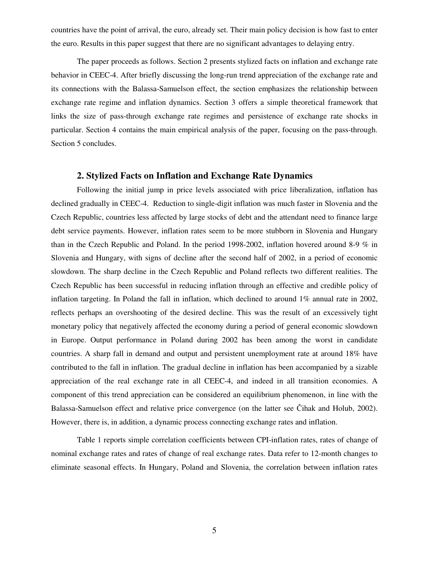countries have the point of arrival, the euro, already set. Their main policy decision is how fast to enter the euro. Results in this paper suggest that there are no significant advantages to delaying entry.

The paper proceeds as follows. Section 2 presents stylized facts on inflation and exchange rate behavior in CEEC-4. After briefly discussing the long-run trend appreciation of the exchange rate and its connections with the Balassa-Samuelson effect, the section emphasizes the relationship between exchange rate regime and inflation dynamics. Section 3 offers a simple theoretical framework that links the size of pass-through exchange rate regimes and persistence of exchange rate shocks in particular. Section 4 contains the main empirical analysis of the paper, focusing on the pass-through. Section 5 concludes.

### **2. Stylized Facts on Inflation and Exchange Rate Dynamics**

Following the initial jump in price levels associated with price liberalization, inflation has declined gradually in CEEC-4. Reduction to single-digit inflation was much faster in Slovenia and the Czech Republic, countries less affected by large stocks of debt and the attendant need to finance large debt service payments. However, inflation rates seem to be more stubborn in Slovenia and Hungary than in the Czech Republic and Poland. In the period 1998-2002, inflation hovered around 8-9 % in Slovenia and Hungary, with signs of decline after the second half of 2002, in a period of economic slowdown. The sharp decline in the Czech Republic and Poland reflects two different realities. The Czech Republic has been successful in reducing inflation through an effective and credible policy of inflation targeting. In Poland the fall in inflation, which declined to around 1% annual rate in 2002, reflects perhaps an overshooting of the desired decline. This was the result of an excessively tight monetary policy that negatively affected the economy during a period of general economic slowdown in Europe. Output performance in Poland during 2002 has been among the worst in candidate countries. A sharp fall in demand and output and persistent unemployment rate at around 18% have contributed to the fall in inflation. The gradual decline in inflation has been accompanied by a sizable appreciation of the real exchange rate in all CEEC-4, and indeed in all transition economies. A component of this trend appreciation can be considered an equilibrium phenomenon, in line with the Balassa-Samuelson effect and relative price convergence (on the latter see Čihak and Holub, 2002). However, there is, in addition, a dynamic process connecting exchange rates and inflation.

Table 1 reports simple correlation coefficients between CPI-inflation rates, rates of change of nominal exchange rates and rates of change of real exchange rates. Data refer to 12-month changes to eliminate seasonal effects. In Hungary, Poland and Slovenia, the correlation between inflation rates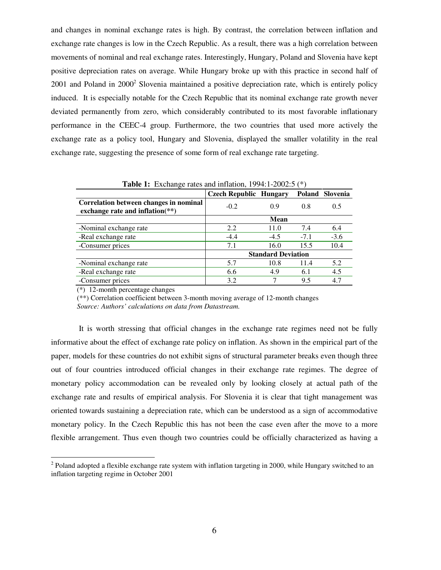and changes in nominal exchange rates is high. By contrast, the correlation between inflation and exchange rate changes is low in the Czech Republic. As a result, there was a high correlation between movements of nominal and real exchange rates. Interestingly, Hungary, Poland and Slovenia have kept positive depreciation rates on average. While Hungary broke up with this practice in second half of 2001 and Poland in 2000<sup>2</sup> Slovenia maintained a positive depreciation rate, which is entirely policy induced. It is especially notable for the Czech Republic that its nominal exchange rate growth never deviated permanently from zero, which considerably contributed to its most favorable inflationary performance in the CEEC-4 group. Furthermore, the two countries that used more actively the exchange rate as a policy tool, Hungary and Slovenia, displayed the smaller volatility in the real exchange rate, suggesting the presence of some form of real exchange rate targeting.

| <b>Tuble 1.</b> EXVIRING TRIES and inflation, $17711200200$                  |                               |        |        |                 |  |  |
|------------------------------------------------------------------------------|-------------------------------|--------|--------|-----------------|--|--|
|                                                                              | <b>Czech Republic Hungary</b> |        |        | Poland Slovenia |  |  |
| Correlation between changes in nominal<br>exchange rate and inflation $(**)$ | $-0.2$                        | 0.9    | 0.8    | 0.5             |  |  |
|                                                                              |                               | Mean   |        |                 |  |  |
| -Nominal exchange rate                                                       | 2.2                           | 11.0   | 7.4    | 6.4             |  |  |
| -Real exchange rate                                                          | $-4.4$                        | $-4.5$ | $-7.1$ | $-3.6$          |  |  |
| -Consumer prices                                                             | 7.1                           | 16.0   | 15.5   | 10.4            |  |  |
|                                                                              | <b>Standard Deviation</b>     |        |        |                 |  |  |
| -Nominal exchange rate                                                       | 5.7                           | 10.8   | 11.4   | 5.2             |  |  |
| -Real exchange rate                                                          | 6.6                           | 4.9    | 6.1    | 4.5             |  |  |
| -Consumer prices                                                             | 3.2                           |        | 9.5    | 4.7             |  |  |

**Table 1:** Exchange rates and inflation, 1994:1-2002:5 (\*)

(\*) 12-month percentage changes

(\*\*) Correlation coefficient between 3-month moving average of 12-month changes

*Source: Authors' calculations on data from Datastream.*

It is worth stressing that official changes in the exchange rate regimes need not be fully informative about the effect of exchange rate policy on inflation. As shown in the empirical part of the paper, models for these countries do not exhibit signs of structural parameter breaks even though three out of four countries introduced official changes in their exchange rate regimes. The degree of monetary policy accommodation can be revealed only by looking closely at actual path of the exchange rate and results of empirical analysis. For Slovenia it is clear that tight management was oriented towards sustaining a depreciation rate, which can be understood as a sign of accommodative monetary policy. In the Czech Republic this has not been the case even after the move to a more flexible arrangement. Thus even though two countries could be officially characterized as having a

 $2$  Poland adopted a flexible exchange rate system with inflation targeting in 2000, while Hungary switched to an inflation targeting regime in October 2001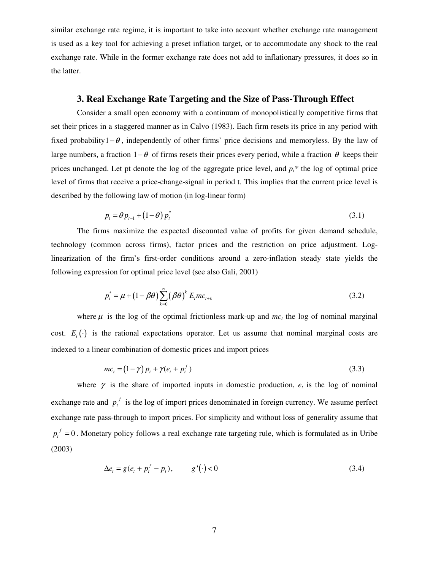similar exchange rate regime, it is important to take into account whether exchange rate management is used as a key tool for achieving a preset inflation target, or to accommodate any shock to the real exchange rate. While in the former exchange rate does not add to inflationary pressures, it does so in the latter.

### **3. Real Exchange Rate Targeting and the Size of Pass-Through Effect**

Consider a small open economy with a continuum of monopolistically competitive firms that set their prices in a staggered manner as in Calvo (1983). Each firm resets its price in any period with fixed probability1− $\theta$ , independently of other firms' price decisions and memoryless. By the law of large numbers, a fraction  $1-\theta$  of firms resets their prices every period, while a fraction  $\theta$  keeps their prices unchanged. Let pt denote the log of the aggregate price level, and  $p_t^*$  the log of optimal price level of firms that receive a price-change-signal in period t. This implies that the current price level is described by the following law of motion (in log-linear form)

$$
p_t = \theta p_{t-1} + (1 - \theta) p_t^* \tag{3.1}
$$

The firms maximize the expected discounted value of profits for given demand schedule, technology (common across firms), factor prices and the restriction on price adjustment. Loglinearization of the firm's first-order conditions around a zero-inflation steady state yields the following expression for optimal price level (see also Gali, 2001)

$$
p_t^* = \mu + (1 - \beta \theta) \sum_{k=0}^{\infty} (\beta \theta)^k E_t m c_{t+k}
$$
 (3.2)

where  $\mu$  is the log of the optimal frictionless mark-up and  $mc<sub>t</sub>$  the log of nominal marginal cost.  $E_t(\cdot)$  is the rational expectations operator. Let us assume that nominal marginal costs are indexed to a linear combination of domestic prices and import prices

$$
mc_t = (1 - \gamma)p_t + \gamma(e_t + p_t^f) \tag{3.3}
$$

where  $\gamma$  is the share of imported inputs in domestic production,  $e_t$  is the log of nominal exchange rate and  $p_t^f$  $p_t^{\,j}$  is the log of import prices denominated in foreign currency. We assume perfect exchange rate pass-through to import prices. For simplicity and without loss of generality assume that  $f = 0$  $p_t^{\,I} = 0$ . Monetary policy follows a real exchange rate targeting rule, which is formulated as in Uribe (2003)

$$
\Delta e_t = g(e_t + p_t^f - p_t), \qquad g'(\cdot) < 0 \tag{3.4}
$$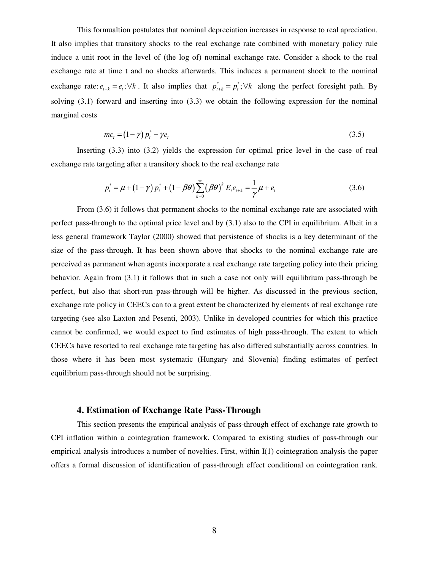This formualtion postulates that nominal depreciation increases in response to real apreciation. It also implies that transitory shocks to the real exchange rate combined with monetary policy rule induce a unit root in the level of (the log of) nominal exchange rate. Consider a shock to the real exchange rate at time t and no shocks afterwards. This induces a permanent shock to the nominal exchange rate:  $e_{t+k} = e_t$ ;  $\forall k$ . It also implies that  $p_{t+k}^* = p_t^*$ ;  $\forall k$  along the perfect foresight path. By solving (3.1) forward and inserting into (3.3) we obtain the following expression for the nominal marginal costs

$$
mc_t = (1 - \gamma) p_t^* + \gamma e_t \tag{3.5}
$$

Inserting (3.3) into (3.2) yields the expression for optimal price level in the case of real exchange rate targeting after a transitory shock to the real exchange rate

$$
p_t^* = \mu + (1 - \gamma) p_t^* + (1 - \beta \theta) \sum_{k=0}^{\infty} (\beta \theta)^k E_t e_{t+k} = \frac{1}{\gamma} \mu + e_t
$$
 (3.6)

From (3.6) it follows that permanent shocks to the nominal exchange rate are associated with perfect pass-through to the optimal price level and by (3.1) also to the CPI in equilibrium. Albeit in a less general framework Taylor (2000) showed that persistence of shocks is a key determinant of the size of the pass-through. It has been shown above that shocks to the nominal exchange rate are perceived as permanent when agents incorporate a real exchange rate targeting policy into their pricing behavior. Again from (3.1) it follows that in such a case not only will equilibrium pass-through be perfect, but also that short-run pass-through will be higher. As discussed in the previous section, exchange rate policy in CEECs can to a great extent be characterized by elements of real exchange rate targeting (see also Laxton and Pesenti, 2003). Unlike in developed countries for which this practice cannot be confirmed, we would expect to find estimates of high pass-through. The extent to which CEECs have resorted to real exchange rate targeting has also differed substantially across countries. In those where it has been most systematic (Hungary and Slovenia) finding estimates of perfect equilibrium pass-through should not be surprising.

#### **4. Estimation of Exchange Rate Pass-Through**

This section presents the empirical analysis of pass-through effect of exchange rate growth to CPI inflation within a cointegration framework. Compared to existing studies of pass-through our empirical analysis introduces a number of novelties. First, within I(1) cointegration analysis the paper offers a formal discussion of identification of pass-through effect conditional on cointegration rank.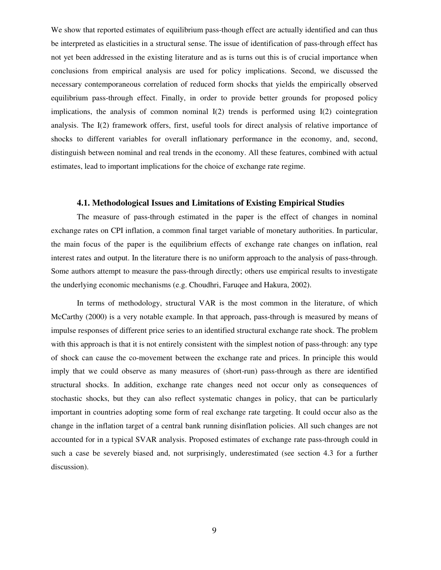We show that reported estimates of equilibrium pass-though effect are actually identified and can thus be interpreted as elasticities in a structural sense. The issue of identification of pass-through effect has not yet been addressed in the existing literature and as is turns out this is of crucial importance when conclusions from empirical analysis are used for policy implications. Second, we discussed the necessary contemporaneous correlation of reduced form shocks that yields the empirically observed equilibrium pass-through effect. Finally, in order to provide better grounds for proposed policy implications, the analysis of common nominal  $I(2)$  trends is performed using  $I(2)$  cointegration analysis. The I(2) framework offers, first, useful tools for direct analysis of relative importance of shocks to different variables for overall inflationary performance in the economy, and, second, distinguish between nominal and real trends in the economy. All these features, combined with actual estimates, lead to important implications for the choice of exchange rate regime.

#### **4.1. Methodological Issues and Limitations of Existing Empirical Studies**

The measure of pass-through estimated in the paper is the effect of changes in nominal exchange rates on CPI inflation, a common final target variable of monetary authorities. In particular, the main focus of the paper is the equilibrium effects of exchange rate changes on inflation, real interest rates and output. In the literature there is no uniform approach to the analysis of pass-through. Some authors attempt to measure the pass-through directly; others use empirical results to investigate the underlying economic mechanisms (e.g. Choudhri, Faruqee and Hakura, 2002).

In terms of methodology, structural VAR is the most common in the literature, of which McCarthy (2000) is a very notable example. In that approach, pass-through is measured by means of impulse responses of different price series to an identified structural exchange rate shock. The problem with this approach is that it is not entirely consistent with the simplest notion of pass-through: any type of shock can cause the co-movement between the exchange rate and prices. In principle this would imply that we could observe as many measures of (short-run) pass-through as there are identified structural shocks. In addition, exchange rate changes need not occur only as consequences of stochastic shocks, but they can also reflect systematic changes in policy, that can be particularly important in countries adopting some form of real exchange rate targeting. It could occur also as the change in the inflation target of a central bank running disinflation policies. All such changes are not accounted for in a typical SVAR analysis. Proposed estimates of exchange rate pass-through could in such a case be severely biased and, not surprisingly, underestimated (see section 4.3 for a further discussion).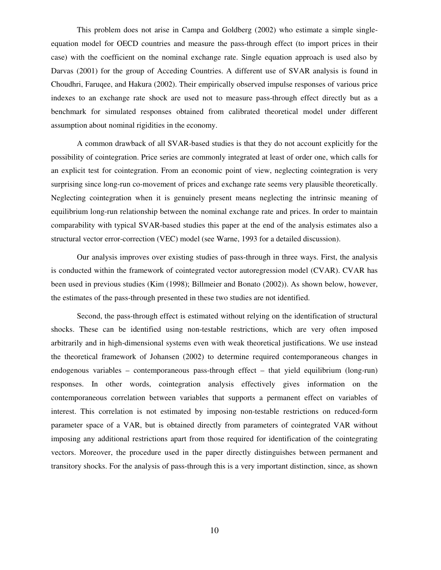This problem does not arise in Campa and Goldberg (2002) who estimate a simple singleequation model for OECD countries and measure the pass-through effect (to import prices in their case) with the coefficient on the nominal exchange rate. Single equation approach is used also by Darvas (2001) for the group of Acceding Countries. A different use of SVAR analysis is found in Choudhri, Faruqee, and Hakura (2002). Their empirically observed impulse responses of various price indexes to an exchange rate shock are used not to measure pass-through effect directly but as a benchmark for simulated responses obtained from calibrated theoretical model under different assumption about nominal rigidities in the economy.

A common drawback of all SVAR-based studies is that they do not account explicitly for the possibility of cointegration. Price series are commonly integrated at least of order one, which calls for an explicit test for cointegration. From an economic point of view, neglecting cointegration is very surprising since long-run co-movement of prices and exchange rate seems very plausible theoretically. Neglecting cointegration when it is genuinely present means neglecting the intrinsic meaning of equilibrium long-run relationship between the nominal exchange rate and prices. In order to maintain comparability with typical SVAR-based studies this paper at the end of the analysis estimates also a structural vector error-correction (VEC) model (see Warne, 1993 for a detailed discussion).

Our analysis improves over existing studies of pass-through in three ways. First, the analysis is conducted within the framework of cointegrated vector autoregression model (CVAR). CVAR has been used in previous studies (Kim (1998); Billmeier and Bonato (2002)). As shown below, however, the estimates of the pass-through presented in these two studies are not identified.

Second, the pass-through effect is estimated without relying on the identification of structural shocks. These can be identified using non-testable restrictions, which are very often imposed arbitrarily and in high-dimensional systems even with weak theoretical justifications. We use instead the theoretical framework of Johansen (2002) to determine required contemporaneous changes in endogenous variables – contemporaneous pass-through effect – that yield equilibrium (long-run) responses. In other words, cointegration analysis effectively gives information on the contemporaneous correlation between variables that supports a permanent effect on variables of interest. This correlation is not estimated by imposing non-testable restrictions on reduced-form parameter space of a VAR, but is obtained directly from parameters of cointegrated VAR without imposing any additional restrictions apart from those required for identification of the cointegrating vectors. Moreover, the procedure used in the paper directly distinguishes between permanent and transitory shocks. For the analysis of pass-through this is a very important distinction, since, as shown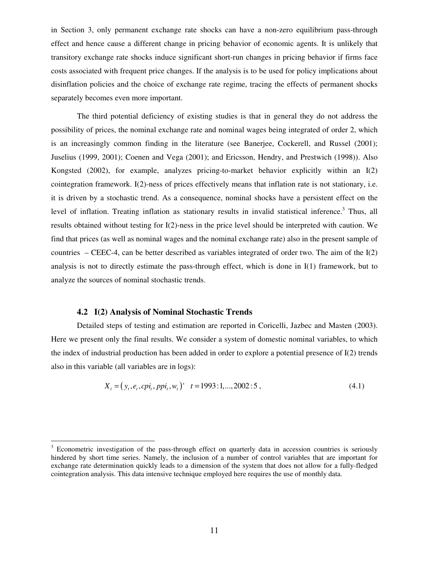in Section 3, only permanent exchange rate shocks can have a non-zero equilibrium pass-through effect and hence cause a different change in pricing behavior of economic agents. It is unlikely that transitory exchange rate shocks induce significant short-run changes in pricing behavior if firms face costs associated with frequent price changes. If the analysis is to be used for policy implications about disinflation policies and the choice of exchange rate regime, tracing the effects of permanent shocks separately becomes even more important.

The third potential deficiency of existing studies is that in general they do not address the possibility of prices, the nominal exchange rate and nominal wages being integrated of order 2, which is an increasingly common finding in the literature (see Banerjee, Cockerell, and Russel (2001); Juselius (1999, 2001); Coenen and Vega (2001); and Ericsson, Hendry, and Prestwich (1998)). Also Kongsted (2002), for example, analyzes pricing-to-market behavior explicitly within an I(2) cointegration framework. I(2)-ness of prices effectively means that inflation rate is not stationary, i.e. it is driven by a stochastic trend. As a consequence, nominal shocks have a persistent effect on the level of inflation. Treating inflation as stationary results in invalid statistical inference.<sup>3</sup> Thus, all results obtained without testing for I(2)-ness in the price level should be interpreted with caution. We find that prices (as well as nominal wages and the nominal exchange rate) also in the present sample of countries – CEEC-4, can be better described as variables integrated of order two. The aim of the I(2) analysis is not to directly estimate the pass-through effect, which is done in I(1) framework, but to analyze the sources of nominal stochastic trends.

#### **4.2 I(2) Analysis of Nominal Stochastic Trends**

Detailed steps of testing and estimation are reported in Coricelli, Jazbec and Masten (2003). Here we present only the final results. We consider a system of domestic nominal variables, to which the index of industrial production has been added in order to explore a potential presence of I(2) trends also in this variable (all variables are in logs):

$$
X_{t} = (y_{t}, e_{t}, c\pi_{t}, \text{ppi}_{t}, w_{t})' \quad t = 1993 \, : 1, \dots, 2002 \, : 5 \,, \tag{4.1}
$$

Econometric investigation of the pass-through effect on quarterly data in accession countries is seriously hindered by short time series. Namely, the inclusion of a number of control variables that are important for exchange rate determination quickly leads to a dimension of the system that does not allow for a fully-fledged cointegration analysis. This data intensive technique employed here requires the use of monthly data.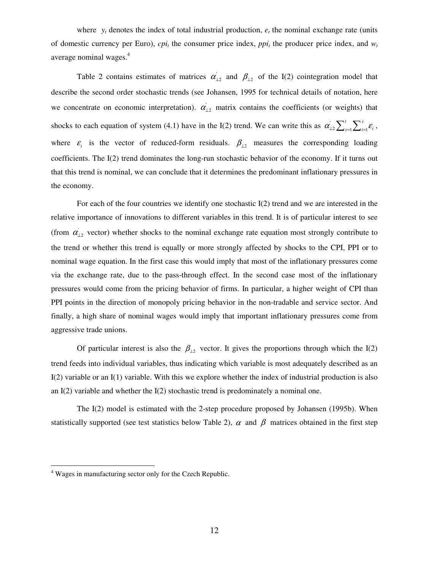where  $y_t$  denotes the index of total industrial production,  $e_t$  the nominal exchange rate (units of domestic currency per Euro),  $cpi_t$  the consumer price index,  $ppi_t$  the producer price index, and  $w_t$ average nominal wages. 4

Table 2 contains estimates of matrices  $\alpha'_{12}$  and  $\beta_{12}$  of the I(2) cointegration model that describe the second order stochastic trends (see Johansen, 1995 for technical details of notation, here we concentrate on economic interpretation).  $\alpha_{12}$  matrix contains the coefficients (or weights) that shocks to each equation of system (4.1) have in the I(2) trend. We can write this as  $\alpha'_{12} \sum_{s=1}^{l} \sum_{i=1}^{s}$ *t s*  $\alpha_{\scriptscriptstyle \perp 2}^{\scriptscriptstyle \prime} \sum_{{\scriptscriptstyle s=1}}^{\scriptscriptstyle t} \sum_{{\scriptscriptstyle i=1}}^{\scriptscriptstyle s} \pmb \varepsilon_{\scriptscriptstyle i}^{\scriptscriptstyle \prime}$  , where  $\varepsilon$ <sub>t</sub> is the vector of reduced-form residuals.  $\beta$ <sub>12</sub> measures the corresponding loading coefficients. The I(2) trend dominates the long-run stochastic behavior of the economy. If it turns out that this trend is nominal, we can conclude that it determines the predominant inflationary pressures in the economy.

For each of the four countries we identify one stochastic  $I(2)$  trend and we are interested in the relative importance of innovations to different variables in this trend. It is of particular interest to see (from  $\alpha'_{12}$  vector) whether shocks to the nominal exchange rate equation most strongly contribute to the trend or whether this trend is equally or more strongly affected by shocks to the CPI, PPI or to nominal wage equation. In the first case this would imply that most of the inflationary pressures come via the exchange rate, due to the pass-through effect. In the second case most of the inflationary pressures would come from the pricing behavior of firms. In particular, a higher weight of CPI than PPI points in the direction of monopoly pricing behavior in the non-tradable and service sector. And finally, a high share of nominal wages would imply that important inflationary pressures come from aggressive trade unions.

Of particular interest is also the  $\beta_{12}$  vector. It gives the proportions through which the I(2) trend feeds into individual variables, thus indicating which variable is most adequately described as an I(2) variable or an I(1) variable. With this we explore whether the index of industrial production is also an  $I(2)$  variable and whether the  $I(2)$  stochastic trend is predominately a nominal one.

The I(2) model is estimated with the 2-step procedure proposed by Johansen (1995b). When statistically supported (see test statistics below Table 2),  $\alpha$  and  $\beta$  matrices obtained in the first step

<sup>4</sup> Wages in manufacturing sector only for the Czech Republic.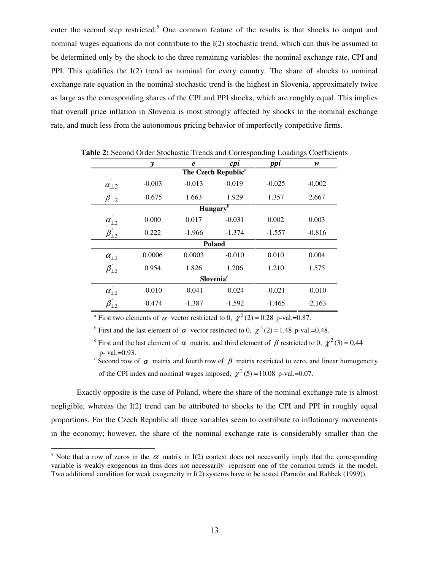enter the second step restricted.<sup>5</sup> One common feature of the results is that shocks to output and nominal wages equations do not contribute to the I(2) stochastic trend, which can thus be assumed to be determined only by the shock to the three remaining variables: the nominal exchange rate, CPI and PPI. This qualifies the  $I(2)$  trend as nominal for every country. The share of shocks to nominal exchange rate equation in the nominal stochastic trend is the highest in Slovenia, approximately twice as large as the corresponding shares of the CPI and PPI shocks, which are roughly equal. This implies that overall price inflation in Slovenia is most strongly affected by shocks to the nominal exchange rate, and much less from the autonomous pricing behavior of imperfectly competitive firms.

|                                    | y        | $\boldsymbol{e}$ | cpi                             | ppi      | w        |
|------------------------------------|----------|------------------|---------------------------------|----------|----------|
|                                    |          |                  | The Czech Republic <sup>a</sup> |          |          |
| $\mathbf{r}$<br>$\alpha_{\perp2}$  | $-0.003$ | $-0.013$         | 0.019                           | $-0.025$ | $-0.002$ |
| $\beta_{\perp2}$                   | $-0.675$ | 1.663            | 1.929                           | 1.357    | 2.667    |
|                                    |          |                  | Hungary $\overline{b}$          |          |          |
| $\alpha_{\perp 2}$                 | 0.000    | 0.017            | $-0.031$                        | 0.002    | 0.003    |
| $\beta_{12}^{\prime}$              | 0.222    | $-1.966$         | $-1.374$                        | $-1.557$ | $-0.816$ |
|                                    |          |                  | Poland                          |          |          |
| $\alpha_{\perp 2}$                 | 0.0006   | 0.0003           | $-0.010$                        | 0.010    | 0.004    |
| $\beta_{12}^{\prime}$              | 0.954    | 1.826            | 1.206                           | 1.210    | 1.575    |
|                                    |          |                  | Slovenia <sup>1</sup>           |          |          |
| $\mathbf{r}$<br>$\alpha_{\perp 2}$ | $-0.010$ | $-0.041$         | $-0.024$                        | $-0.021$ | $-0.010$ |
| $\beta_{\perp 2}$                  | $-0.474$ | $-1.387$         | $-1.592$                        | $-1.465$ | $-2.163$ |

**Table 2:** Second Order Stochastic Trends and Corresponding Loadings Coefficients

<sup>a</sup> First two elements of  $\alpha$  vector restricted to 0,  $\chi^2(2) = 0.28$  p-val.=0.87.

<sup>b</sup> First and the last element of  $\alpha$  vector restricted to 0,  $\chi^2(2) = 1.48$  p-val.=0.48.

<sup>c</sup> First and the last element of  $\alpha$  matrix, and third element of  $\beta$  restricted to 0,  $\chi^2(3) = 0.44$ p- val.=0.93.

<sup>d</sup> Second row of  $\alpha$  matrix and fourth row of  $\beta$  matrix restricted to zero, and linear homogeneity of the CPI index and nominal wages imposed,  $\chi^2$  (5) = 10.08 p-val.=0.07.

Exactly opposite is the case of Poland, where the share of the nominal exchange rate is almost negligible, whereas the I(2) trend can be attributed to shocks to the CPI and PPI in roughly equal proportions. For the Czech Republic all three variables seem to contribute to inflationary movements in the economy; however, the share of the nominal exchange rate is considerably smaller than the

<sup>&</sup>lt;sup>5</sup> Note that a row of zeros in the  $\alpha$  matrix in I(2) context does not necessarily imply that the corresponding variable is weakly exogenous an thus does not necessarily represent one of the common trends in the model. Two additional condition for weak exogeneity in I(2) systems have to be tested (Paruolo and Rahbek (1999)).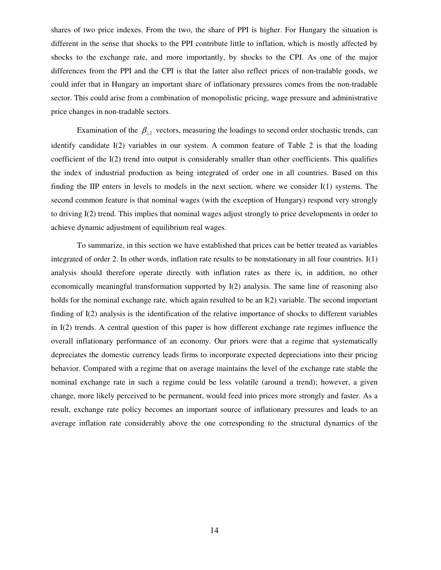shares of two price indexes. From the two, the share of PPI is higher. For Hungary the situation is different in the sense that shocks to the PPI contribute little to inflation, which is mostly affected by shocks to the exchange rate, and more importantly, by shocks to the CPI. As one of the major differences from the PPI and the CPI is that the latter also reflect prices of non-tradable goods, we could infer that in Hungary an important share of inflationary pressures comes from the non-tradable sector. This could arise from a combination of monopolistic pricing, wage pressure and administrative price changes in non-tradable sectors.

Examination of the  $\beta_{12}$  vectors, measuring the loadings to second order stochastic trends, can identify candidate I(2) variables in our system. A common feature of Table 2 is that the loading coefficient of the I(2) trend into output is considerably smaller than other coefficients. This qualifies the index of industrial production as being integrated of order one in all countries. Based on this finding the IIP enters in levels to models in the next section, where we consider I(1) systems. The second common feature is that nominal wages (with the exception of Hungary) respond very strongly to driving I(2) trend. This implies that nominal wages adjust strongly to price developments in order to achieve dynamic adjustment of equilibrium real wages.

To summarize, in this section we have established that prices can be better treated as variables integrated of order 2. In other words, inflation rate results to be nonstationary in all four countries. I(1) analysis should therefore operate directly with inflation rates as there is, in addition, no other economically meaningful transformation supported by I(2) analysis. The same line of reasoning also holds for the nominal exchange rate, which again resulted to be an I(2) variable. The second important finding of I(2) analysis is the identification of the relative importance of shocks to different variables in I(2) trends. A central question of this paper is how different exchange rate regimes influence the overall inflationary performance of an economy. Our priors were that a regime that systematically depreciates the domestic currency leads firms to incorporate expected depreciations into their pricing behavior. Compared with a regime that on average maintains the level of the exchange rate stable the nominal exchange rate in such a regime could be less volatile (around a trend); however, a given change, more likely perceived to be permanent, would feed into prices more strongly and faster. As a result, exchange rate policy becomes an important source of inflationary pressures and leads to an average inflation rate considerably above the one corresponding to the structural dynamics of the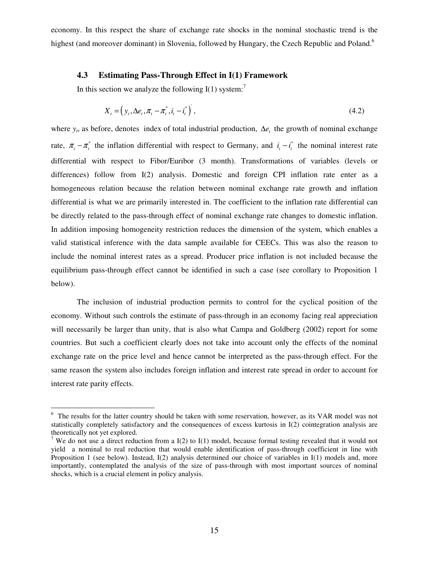economy. In this respect the share of exchange rate shocks in the nominal stochastic trend is the highest (and moreover dominant) in Slovenia, followed by Hungary, the Czech Republic and Poland.<sup>6</sup>

### **4.3 Estimating Pass-Through Effect in I(1) Framework**

In this section we analyze the following I(1) system:<sup>7</sup>

$$
X_{t} = \left(y_{t}, \Delta e_{t}, \pi_{t} - \pi_{t}^{*}, i_{t} - i_{t}^{*}\right),\tag{4.2}
$$

where  $y_t$ , as before, denotes index of total industrial production,  $\Delta e_t$  the growth of nominal exchange rate,  $\pi_t - \pi_t^*$  the inflation differential with respect to Germany, and  $i_t - i_t^*$  the nominal interest rate differential with respect to Fibor/Euribor (3 month). Transformations of variables (levels or differences) follow from I(2) analysis. Domestic and foreign CPI inflation rate enter as a homogeneous relation because the relation between nominal exchange rate growth and inflation differential is what we are primarily interested in. The coefficient to the inflation rate differential can be directly related to the pass-through effect of nominal exchange rate changes to domestic inflation. In addition imposing homogeneity restriction reduces the dimension of the system, which enables a valid statistical inference with the data sample available for CEECs. This was also the reason to include the nominal interest rates as a spread. Producer price inflation is not included because the equilibrium pass-through effect cannot be identified in such a case (see corollary to Proposition 1 below).

The inclusion of industrial production permits to control for the cyclical position of the economy. Without such controls the estimate of pass-through in an economy facing real appreciation will necessarily be larger than unity, that is also what Campa and Goldberg (2002) report for some countries. But such a coefficient clearly does not take into account only the effects of the nominal exchange rate on the price level and hence cannot be interpreted as the pass-through effect. For the same reason the system also includes foreign inflation and interest rate spread in order to account for interest rate parity effects.

<sup>&</sup>lt;sup>6</sup> The results for the latter country should be taken with some reservation, however, as its VAR model was not statistically completely satisfactory and the consequences of excess kurtosis in I(2) cointegration analysis are theoretically not yet explored.

<sup>&</sup>lt;sup>7</sup> We do not use a direct reduction from a I(2) to I(1) model, because formal testing revealed that it would not yield a nominal to real reduction that would enable identification of pass-through coefficient in line with Proposition 1 (see below). Instead, I(2) analysis determined our choice of variables in I(1) models and, more importantly, contemplated the analysis of the size of pass-through with most important sources of nominal shocks, which is a crucial element in policy analysis.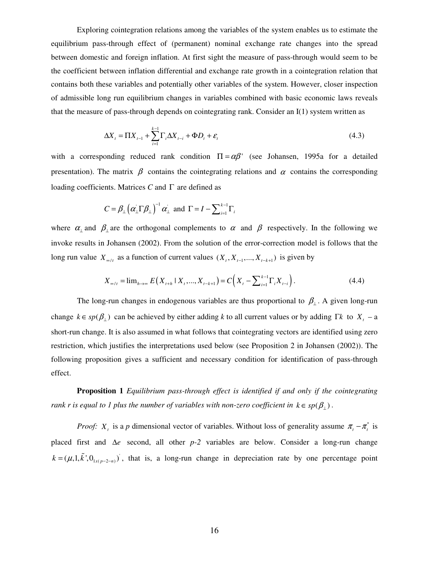Exploring cointegration relations among the variables of the system enables us to estimate the equilibrium pass-through effect of (permanent) nominal exchange rate changes into the spread between domestic and foreign inflation. At first sight the measure of pass-through would seem to be the coefficient between inflation differential and exchange rate growth in a cointegration relation that contains both these variables and potentially other variables of the system. However, closer inspection of admissible long run equilibrium changes in variables combined with basic economic laws reveals that the measure of pass-through depends on cointegrating rank. Consider an  $I(1)$  system written as

$$
\Delta X_{t} = \Pi X_{t-1} + \sum_{i=1}^{k-1} \Gamma_{i} \Delta X_{t-i} + \Phi D_{t} + \varepsilon_{t}
$$
\n(4.3)

with a corresponding reduced rank condition  $\Pi = \alpha \beta'$  (see Johansen, 1995a for a detailed presentation). The matrix  $\beta$  contains the cointegrating relations and  $\alpha$  contains the corresponding loading coefficients. Matrices *C* and Γ are defined as

$$
C = \beta_{\perp} (\alpha_{\perp} \Gamma \beta_{\perp})^{-1} \alpha_{\perp} \text{ and } \Gamma = I - \sum_{i=1}^{k-1} \Gamma_i
$$

where  $\alpha_{\perp}$  and  $\beta_{\perp}$  are the orthogonal complements to  $\alpha$  and  $\beta$  respectively. In the following we invoke results in Johansen (2002). From the solution of the error-correction model is follows that the long run value  $X_{\infty}$  as a function of current values  $(X_t, X_{t-1},..., X_{t-k+1})$  is given by

$$
X_{\infty/t} = \lim_{h \to \infty} E(X_{t+h} \mid X_t, ..., X_{t-k+1}) = C\Big(X_t - \sum_{i=1}^{k-1} \Gamma_i X_{t-i}\Big). \tag{4.4}
$$

The long-run changes in endogenous variables are thus proportional to  $\beta_{\perp}$ . A given long-run change  $k \in sp(\beta_1)$  can be achieved by either adding *k* to all current values or by adding  $\Gamma k$  to  $X<sub>t</sub>$  – a short-run change. It is also assumed in what follows that cointegrating vectors are identified using zero restriction, which justifies the interpretations used below (see Proposition 2 in Johansen (2002)). The following proposition gives a sufficient and necessary condition for identification of pass-through effect.

**Proposition 1** *Equilibrium pass-through effect is identified if and only if the cointegrating rank r* is equal to 1 plus the number of variables with non-zero coefficient in  $k \in sp(\beta_{\perp})$ .

*Proof:*  $X_t$  is a *p* dimensional vector of variables. Without loss of generality assume  $\pi_t - \pi_t^*$  is placed first and ∆*e* second, all other *p-2* variables are below. Consider a long-run change  $k = (\mu, 1, \tilde{k}^{\prime}, 0_{1x(p-2-n)})$ , that is, a long-run change in depreciation rate by one percentage point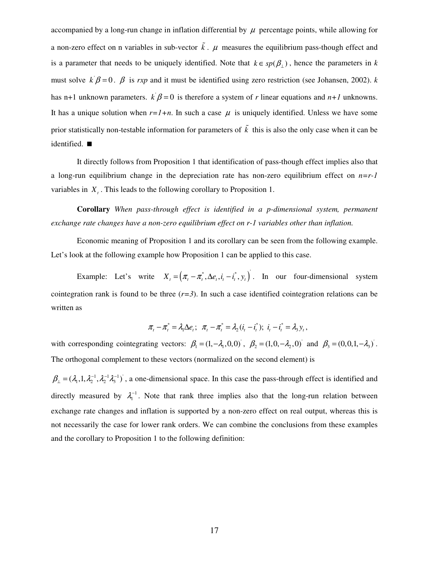accompanied by a long-run change in inflation differential by  $\mu$  percentage points, while allowing for a non-zero effect on n variables in sub-vector  $\tilde{k}$ .  $\mu$  measures the equilibrium pass-though effect and is a parameter that needs to be uniquely identified. Note that  $k \in sp(\beta_{\perp})$ , hence the parameters in *k* must solve  $k/\beta = 0$ .  $\beta$  is *rxp* and it must be identified using zero restriction (see Johansen, 2002). *k* has n+1 unknown parameters.  $k\beta = 0$  is therefore a system of *r* linear equations and *n*+1 unknowns. It has a unique solution when  $r=1+n$ . In such a case  $\mu$  is uniquely identified. Unless we have some prior statistically non-testable information for parameters of  $\tilde{k}$  this is also the only case when it can be identified.

It directly follows from Proposition 1 that identification of pass-though effect implies also that a long-run equilibrium change in the depreciation rate has non-zero equilibrium effect on *n=r-1* variables in  $X<sub>t</sub>$ . This leads to the following corollary to Proposition 1.

**Corollary** *When pass-through effect is identified in a p-dimensional system, permanent exchange rate changes have a non-zero equilibrium effect on r-1 variables other than inflation.*

Economic meaning of Proposition 1 and its corollary can be seen from the following example. Let's look at the following example how Proposition 1 can be applied to this case.

Example: Let's write  $X_t = (\pi_t - \pi_t^*, \Delta e_t, i_t - i_t^*, y_t)$ . In our four-dimensional system cointegration rank is found to be three  $(r=3)$ . In such a case identified cointegration relations can be written as

$$
\pi_t - \pi_t^* = \lambda_1 \Delta e_t; \quad \pi_t - \pi_t^* = \lambda_2 (i_t - i_t^*); \quad i_t - i_t^* = \lambda_3 y_t,
$$

with corresponding cointegrating vectors:  $\beta_1 = (1, -\lambda_1, 0, 0)$ ,  $\beta_2 = (1, 0, -\lambda_2, 0)$  and  $\beta_3 = (0, 0, 1, -\lambda_3)$ . The orthogonal complement to these vectors (normalized on the second element) is

 $\beta_{\perp} = (\lambda_1, 1, \lambda_2^{-1}, \lambda_2^{-1}, \lambda_3^{-1})$ , a one-dimensional space. In this case the pass-through effect is identified and directly measured by  $\lambda_1^{-1}$ . Note that rank three implies also that the long-run relation between exchange rate changes and inflation is supported by a non-zero effect on real output, whereas this is not necessarily the case for lower rank orders. We can combine the conclusions from these examples and the corollary to Proposition 1 to the following definition: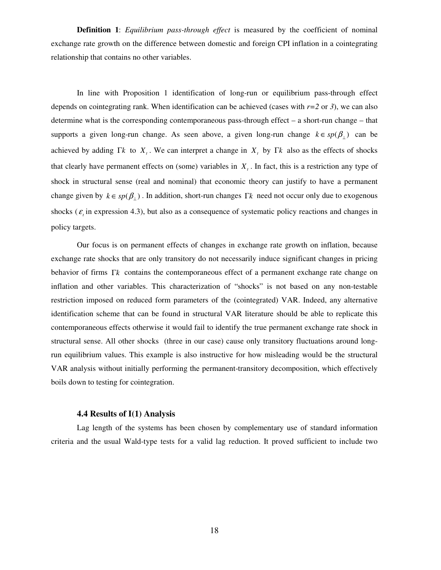**Definition 1**: *Equilibrium pass-through effect* is measured by the coefficient of nominal exchange rate growth on the difference between domestic and foreign CPI inflation in a cointegrating relationship that contains no other variables.

In line with Proposition 1 identification of long-run or equilibrium pass-through effect depends on cointegrating rank. When identification can be achieved (cases with  $r=2$  or 3), we can also determine what is the corresponding contemporaneous pass-through effect – a short-run change – that supports a given long-run change. As seen above, a given long-run change  $k \in sp(\beta_1)$  can be achieved by adding Γ*k* to  $X_t$ . We can interpret a change in  $X_t$  by Γ*k* also as the effects of shocks that clearly have permanent effects on (some) variables in  $X<sub>t</sub>$ . In fact, this is a restriction any type of shock in structural sense (real and nominal) that economic theory can justify to have a permanent change given by  $k \in sp(\beta_{\perp})$ . In addition, short-run changes  $\Gamma k$  need not occur only due to exogenous shocks ( $\varepsilon$ <sub>i</sub> in expression 4.3), but also as a consequence of systematic policy reactions and changes in policy targets.

Our focus is on permanent effects of changes in exchange rate growth on inflation, because exchange rate shocks that are only transitory do not necessarily induce significant changes in pricing behavior of firms Γ*k* contains the contemporaneous effect of a permanent exchange rate change on inflation and other variables. This characterization of "shocks" is not based on any non-testable restriction imposed on reduced form parameters of the (cointegrated) VAR. Indeed, any alternative identification scheme that can be found in structural VAR literature should be able to replicate this contemporaneous effects otherwise it would fail to identify the true permanent exchange rate shock in structural sense. All other shocks (three in our case) cause only transitory fluctuations around longrun equilibrium values. This example is also instructive for how misleading would be the structural VAR analysis without initially performing the permanent-transitory decomposition, which effectively boils down to testing for cointegration.

#### **4.4 Results of I(1) Analysis**

Lag length of the systems has been chosen by complementary use of standard information criteria and the usual Wald-type tests for a valid lag reduction. It proved sufficient to include two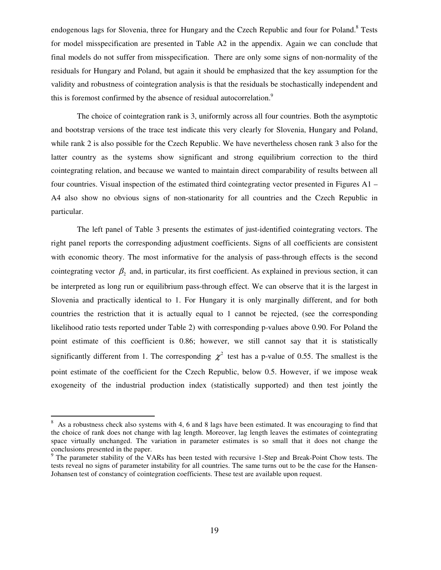endogenous lags for Slovenia, three for Hungary and the Czech Republic and four for Poland.<sup>8</sup> Tests for model misspecification are presented in Table A2 in the appendix. Again we can conclude that final models do not suffer from misspecification. There are only some signs of non-normality of the residuals for Hungary and Poland, but again it should be emphasized that the key assumption for the validity and robustness of cointegration analysis is that the residuals be stochastically independent and this is foremost confirmed by the absence of residual autocorrelation.<sup>9</sup>

The choice of cointegration rank is 3, uniformly across all four countries. Both the asymptotic and bootstrap versions of the trace test indicate this very clearly for Slovenia, Hungary and Poland, while rank 2 is also possible for the Czech Republic. We have nevertheless chosen rank 3 also for the latter country as the systems show significant and strong equilibrium correction to the third cointegrating relation, and because we wanted to maintain direct comparability of results between all four countries. Visual inspection of the estimated third cointegrating vector presented in Figures A1 – A4 also show no obvious signs of non-stationarity for all countries and the Czech Republic in particular.

The left panel of Table 3 presents the estimates of just-identified cointegrating vectors. The right panel reports the corresponding adjustment coefficients. Signs of all coefficients are consistent with economic theory. The most informative for the analysis of pass-through effects is the second cointegrating vector  $\beta_2$  and, in particular, its first coefficient. As explained in previous section, it can be interpreted as long run or equilibrium pass-through effect. We can observe that it is the largest in Slovenia and practically identical to 1. For Hungary it is only marginally different, and for both countries the restriction that it is actually equal to 1 cannot be rejected, (see the corresponding likelihood ratio tests reported under Table 2) with corresponding p-values above 0.90. For Poland the point estimate of this coefficient is 0.86; however, we still cannot say that it is statistically significantly different from 1. The corresponding  $\chi^2$  test has a p-value of 0.55. The smallest is the point estimate of the coefficient for the Czech Republic, below 0.5. However, if we impose weak exogeneity of the industrial production index (statistically supported) and then test jointly the

<sup>&</sup>lt;sup>8</sup> As a robustness check also systems with 4, 6 and 8 lags have been estimated. It was encouraging to find that the choice of rank does not change with lag length. Moreover, lag length leaves the estimates of cointegrating space virtually unchanged. The variation in parameter estimates is so small that it does not change the conclusions presented in the paper.

 $9$  The parameter stability of the VARs has been tested with recursive 1-Step and Break-Point Chow tests. The tests reveal no signs of parameter instability for all countries. The same turns out to be the case for the Hansen-Johansen test of constancy of cointegration coefficients. These test are available upon request.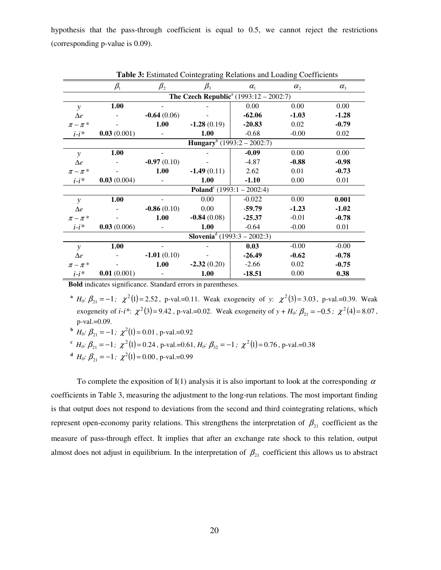hypothesis that the pass-through coefficient is equal to 0.5, we cannot reject the restrictions (corresponding p-value is 0.09).

|               |                                |               | <b>Table 3.</b> Estimated Connegrating Kelations and Loading Coerneients |                                                           |            |                                 |
|---------------|--------------------------------|---------------|--------------------------------------------------------------------------|-----------------------------------------------------------|------------|---------------------------------|
|               | $\beta_{\scriptscriptstyle 1}$ | $\beta_{2}$   | $\beta_{3}$                                                              | $\alpha_{1}$                                              | $\alpha$ , | $\alpha_{\scriptscriptstyle 2}$ |
|               |                                |               |                                                                          | <b>The Czech Republic</b> <sup>a</sup> (1993:12 – 2002:7) |            |                                 |
| $\mathcal{V}$ | 1.00                           |               |                                                                          | 0.00                                                      | 0.00       | 0.00                            |
| $\Delta e$    |                                | $-0.64(0.06)$ |                                                                          | $-62.06$                                                  | $-1.03$    | $-1.28$                         |
| $\pi - \pi$ * |                                | 1.00          | $-1.28(0.19)$                                                            | $-20.83$                                                  | 0.02       | $-0.79$                         |
| $i-i^*$       | 0.03(0.001)                    |               | 1.00                                                                     | $-0.68$                                                   | $-0.00$    | 0.02                            |
|               |                                |               | Hungary <sup>b</sup> (1993:2 – 2002:7)                                   |                                                           |            |                                 |
| $\mathcal{V}$ | 1.00                           |               |                                                                          | $-0.09$                                                   | 0.00       | 0.00                            |
| $\Delta e$    |                                | $-0.97(0.10)$ |                                                                          | $-4.87$                                                   | $-0.88$    | $-0.98$                         |
| $\pi-\pi$ *   |                                | 1.00          | $-1.49(0.11)$                                                            | 2.62                                                      | 0.01       | $-0.73$                         |
| $i-i$ *       | 0.03(0.004)                    |               | 1.00                                                                     | $-1.10$                                                   | 0.00       | 0.01                            |
|               |                                |               | <b>Poland</b> <sup>c</sup> (1993:1 – 2002:4)                             |                                                           |            |                                 |
| $\mathcal{V}$ | 1.00                           |               | 0.00                                                                     | $-0.022$                                                  | 0.00       | 0.001                           |
| $\Delta e$    |                                | $-0.86(0.10)$ | 0.00                                                                     | $-59.79$                                                  | $-1.23$    | $-1.02$                         |
| $\pi - \pi^*$ |                                | 1.00          | $-0.84(0.08)$                                                            | $-25.37$                                                  | $-0.01$    | $-0.78$                         |
| $i-i^*$       | 0.03(0.006)                    |               | 1.00                                                                     | $-0.64$                                                   | $-0.00$    | 0.01                            |
|               |                                |               | <b>Slovenia</b> <sup>d</sup> (1993:3 – 2002:3)                           |                                                           |            |                                 |
| $\mathbf{v}$  | 1.00                           |               |                                                                          | 0.03                                                      | $-0.00$    | $-0.00$                         |
| $\Delta e$    |                                | $-1.01(0.10)$ |                                                                          | $-26.49$                                                  | $-0.62$    | $-0.78$                         |
| $\pi - \pi$ * |                                | 1.00          | $-2.32(0.20)$                                                            | $-2.66$                                                   | 0.02       | $-0.75$                         |
| $i-i^*$       | 0.01(0.001)                    |               | 1.00                                                                     | $-18.51$                                                  | 0.00       | 0.38                            |

**Table 3:** Estimated Cointegrating Relations and Loading Coefficients

**Bold** indicates significance. Standard errors in parentheses.

- **a**  $H_0: \beta_{21} = -1$ ;  $\chi^2(1) = 2.52$ , p-val.=0.11. Weak exogeneity of *y*:  $\chi^2(3) = 3.03$ , p-val.=0.39. Weak exogeneity of *i*-*i*\*:  $\chi^2(3) = 9.42$ , p-val.=0.02. Weak exogeneity of  $y + H_0$ :  $\beta_{21} = -0.5$ ;  $\chi^2(4) = 8.07$ , p-val.=0.09.
- **b**  $H_0: \beta_{21} = -1; \ \chi^2(1) = 0.01$ , p-val.=0.92
- **c**  $H_0: \beta_{21} = -1; \ \chi^2(1) = 0.24$ , p-val.=0.61,  $H_0: \beta_{32} = -1; \ \chi^2(1) = 0.76$ , p-val.=0.38
- **d**  $H_0: \beta_{21} = -1; \ \chi^2(1) = 0.00$ , p-val.=0.99

To complete the exposition of I(1) analysis it is also important to look at the corresponding  $\alpha$ coefficients in Table 3, measuring the adjustment to the long-run relations. The most important finding is that output does not respond to deviations from the second and third cointegrating relations, which represent open-economy parity relations. This strengthens the interpretation of  $\beta_{21}$  coefficient as the measure of pass-through effect. It implies that after an exchange rate shock to this relation, output almost does not adjust in equilibrium. In the interpretation of  $\beta_{21}$  coefficient this allows us to abstract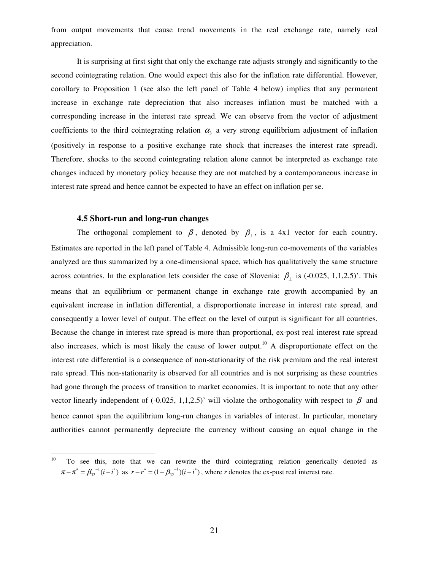from output movements that cause trend movements in the real exchange rate, namely real appreciation.

It is surprising at first sight that only the exchange rate adjusts strongly and significantly to the second cointegrating relation. One would expect this also for the inflation rate differential. However, corollary to Proposition 1 (see also the left panel of Table 4 below) implies that any permanent increase in exchange rate depreciation that also increases inflation must be matched with a corresponding increase in the interest rate spread. We can observe from the vector of adjustment coefficients to the third cointegrating relation  $\alpha_3$  a very strong equilibrium adjustment of inflation (positively in response to a positive exchange rate shock that increases the interest rate spread). Therefore, shocks to the second cointegrating relation alone cannot be interpreted as exchange rate changes induced by monetary policy because they are not matched by a contemporaneous increase in interest rate spread and hence cannot be expected to have an effect on inflation per se.

#### **4.5 Short-run and long-run changes**

The orthogonal complement to  $\beta$ , denoted by  $\beta_{\perp}$ , is a 4x1 vector for each country. Estimates are reported in the left panel of Table 4. Admissible long-run co-movements of the variables analyzed are thus summarized by a one-dimensional space, which has qualitatively the same structure across countries. In the explanation lets consider the case of Slovenia:  $\beta_{\perp}$  is (-0.025, 1,1,2.5)'. This means that an equilibrium or permanent change in exchange rate growth accompanied by an equivalent increase in inflation differential, a disproportionate increase in interest rate spread, and consequently a lower level of output. The effect on the level of output is significant for all countries. Because the change in interest rate spread is more than proportional, ex-post real interest rate spread also increases, which is most likely the cause of lower output.<sup>10</sup> A disproportionate effect on the interest rate differential is a consequence of non-stationarity of the risk premium and the real interest rate spread. This non-stationarity is observed for all countries and is not surprising as these countries had gone through the process of transition to market economies. It is important to note that any other vector linearly independent of (-0.025, 1,1,2.5)' will violate the orthogonality with respect to  $\beta$  and hence cannot span the equilibrium long-run changes in variables of interest. In particular, monetary authorities cannot permanently depreciate the currency without causing an equal change in the

<sup>&</sup>lt;sup>10</sup> To see this, note that we can rewrite the third cointegrating relation generically denoted as  $\pi - \pi^* = \beta_{32}^{-1}(i - i^*)$  as  $r - r^* = (1 - \beta_{32}^{-1})(i - i^*)$ , where *r* denotes the ex-post real interest rate.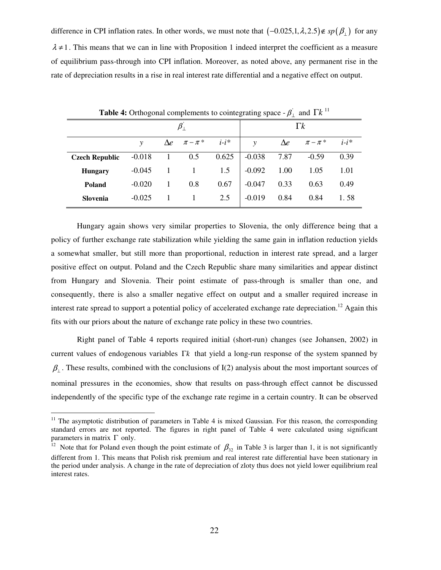difference in CPI inflation rates. In other words, we must note that  $(-0.025,1,\lambda,2.5)$ ∉ *sp*( $\beta$ <sub>⊥</sub>) for any  $\lambda \neq 1$ . This means that we can in line with Proposition 1 indeed interpret the coefficient as a measure of equilibrium pass-through into CPI inflation. Moreover, as noted above, any permanent rise in the rate of depreciation results in a rise in real interest rate differential and a negative effect on output.

|                       | <b>Table 4:</b> Orthogonal complements to cointegrating space $-\beta$ <sup>'</sup> and $\Gamma k$ <sup>11</sup> |  |                               |         |              |            |               |         |
|-----------------------|------------------------------------------------------------------------------------------------------------------|--|-------------------------------|---------|--------------|------------|---------------|---------|
|                       |                                                                                                                  |  |                               |         | $\Gamma k$   |            |               |         |
|                       | v                                                                                                                |  | $\Delta e \qquad \pi - \pi^*$ | $i-i^*$ | $\mathbf{v}$ | $\Delta e$ | $\pi - \pi^*$ | $i-i$ * |
| <b>Czech Republic</b> | $-0.018$                                                                                                         |  | 0.5                           | 0.625   | $-0.038$     | 7.87       | $-0.59$       | 0.39    |
| <b>Hungary</b>        | $-0.045$                                                                                                         |  |                               | 1.5     | $-0.092$     | 1.00       | 1.05          | 1.01    |
| Poland                | $-0.020$                                                                                                         |  | 0.8                           | 0.67    | $-0.047$     | 0.33       | 0.63          | 0.49    |
| Slovenia              | $-0.025$                                                                                                         |  |                               | 2.5     | $-0.019$     | 0.84       | 0.84          | 1.58    |

Hungary again shows very similar properties to Slovenia, the only difference being that a policy of further exchange rate stabilization while yielding the same gain in inflation reduction yields a somewhat smaller, but still more than proportional, reduction in interest rate spread, and a larger positive effect on output. Poland and the Czech Republic share many similarities and appear distinct from Hungary and Slovenia. Their point estimate of pass-through is smaller than one, and consequently, there is also a smaller negative effect on output and a smaller required increase in interest rate spread to support a potential policy of accelerated exchange rate depreciation.<sup>12</sup> Again this fits with our priors about the nature of exchange rate policy in these two countries.

Right panel of Table 4 reports required initial (short-run) changes (see Johansen, 2002) in current values of endogenous variables Γ*k* that yield a long-run response of the system spanned by  $\beta_{\perp}$ . These results, combined with the conclusions of I(2) analysis about the most important sources of nominal pressures in the economies, show that results on pass-through effect cannot be discussed independently of the specific type of the exchange rate regime in a certain country. It can be observed

 $11$  The asymptotic distribution of parameters in Table 4 is mixed Gaussian. For this reason, the corresponding standard errors are not reported. The figures in right panel of Table 4 were calculated using significant parameters in matrix  $\Gamma$  only.

<sup>&</sup>lt;sup>12</sup> Note that for Poland even though the point estimate of  $\beta_{32}$  in Table 3 is larger than 1, it is not significantly different from 1. This means that Polish risk premium and real interest rate differential have been stationary in the period under analysis. A change in the rate of depreciation of zloty thus does not yield lower equilibrium real interest rates.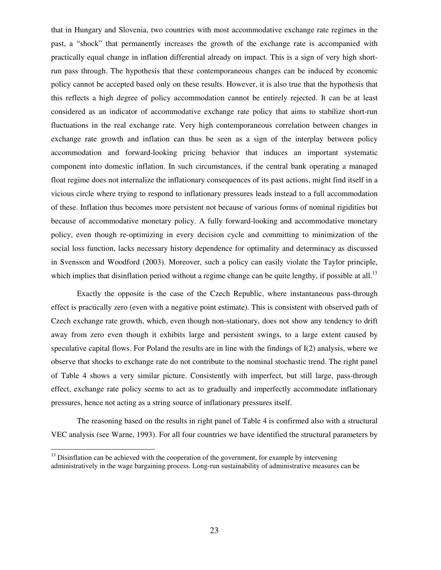that in Hungary and Slovenia, two countries with most accommodative exchange rate regimes in the past, a "shock" that permanently increases the growth of the exchange rate is accompanied with practically equal change in inflation differential already on impact. This is a sign of very high shortrun pass through. The hypothesis that these contemporaneous changes can be induced by economic policy cannot be accepted based only on these results. However, it is also true that the hypothesis that this reflects a high degree of policy accommodation cannot be entirely rejected. It can be at least considered as an indicator of accommodative exchange rate policy that aims to stabilize short-run fluctuations in the real exchange rate. Very high contemporaneous correlation between changes in exchange rate growth and inflation can thus be seen as a sign of the interplay between policy accommodation and forward-looking pricing behavior that induces an important systematic component into domestic inflation. In such circumstances, if the central bank operating a managed float regime does not internalize the inflationary consequences of its past actions, might find itself in a vicious circle where trying to respond to inflationary pressures leads instead to a full accommodation of these. Inflation thus becomes more persistent not because of various forms of nominal rigidities but because of accommodative monetary policy. A fully forward-looking and accommodative monetary policy, even though re-optimizing in every decision cycle and committing to minimization of the social loss function, lacks necessary history dependence for optimality and determinacy as discussed in Svensson and Woodford (2003). Moreover, such a policy can easily violate the Taylor principle, which implies that disinflation period without a regime change can be quite lengthy, if possible at all.<sup>13</sup>

Exactly the opposite is the case of the Czech Republic, where instantaneous pass-through effect is practically zero (even with a negative point estimate). This is consistent with observed path of Czech exchange rate growth, which, even though non-stationary, does not show any tendency to drift away from zero even though it exhibits large and persistent swings, to a large extent caused by speculative capital flows. For Poland the results are in line with the findings of I(2) analysis, where we observe that shocks to exchange rate do not contribute to the nominal stochastic trend. The right panel of Table 4 shows a very similar picture. Consistently with imperfect, but still large, pass-through effect, exchange rate policy seems to act as to gradually and imperfectly accommodate inflationary pressures, hence not acting as a string source of inflationary pressures itself.

The reasoning based on the results in right panel of Table 4 is confirmed also with a structural VEC analysis (see Warne, 1993). For all four countries we have identified the structural parameters by

 $<sup>13</sup>$  Disinflation can be achieved with the cooperation of the government, for example by intervening</sup> administratively in the wage bargaining process. Long-run sustainability of administrative measures can be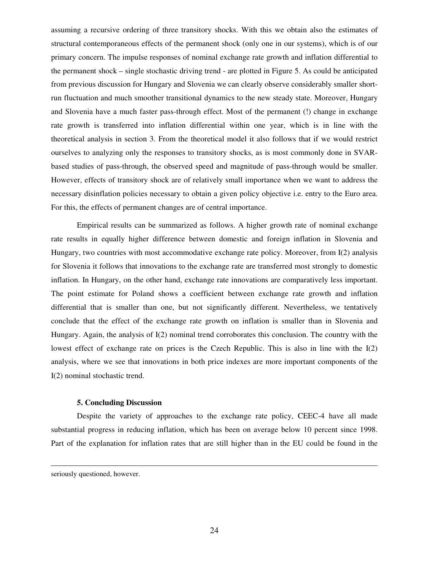assuming a recursive ordering of three transitory shocks. With this we obtain also the estimates of structural contemporaneous effects of the permanent shock (only one in our systems), which is of our primary concern. The impulse responses of nominal exchange rate growth and inflation differential to the permanent shock – single stochastic driving trend - are plotted in Figure 5. As could be anticipated from previous discussion for Hungary and Slovenia we can clearly observe considerably smaller shortrun fluctuation and much smoother transitional dynamics to the new steady state. Moreover, Hungary and Slovenia have a much faster pass-through effect. Most of the permanent (!) change in exchange rate growth is transferred into inflation differential within one year, which is in line with the theoretical analysis in section 3. From the theoretical model it also follows that if we would restrict ourselves to analyzing only the responses to transitory shocks, as is most commonly done in SVARbased studies of pass-through, the observed speed and magnitude of pass-through would be smaller. However, effects of transitory shock are of relatively small importance when we want to address the necessary disinflation policies necessary to obtain a given policy objective i.e. entry to the Euro area. For this, the effects of permanent changes are of central importance.

Empirical results can be summarized as follows. A higher growth rate of nominal exchange rate results in equally higher difference between domestic and foreign inflation in Slovenia and Hungary, two countries with most accommodative exchange rate policy. Moreover, from I(2) analysis for Slovenia it follows that innovations to the exchange rate are transferred most strongly to domestic inflation. In Hungary, on the other hand, exchange rate innovations are comparatively less important. The point estimate for Poland shows a coefficient between exchange rate growth and inflation differential that is smaller than one, but not significantly different. Nevertheless, we tentatively conclude that the effect of the exchange rate growth on inflation is smaller than in Slovenia and Hungary. Again, the analysis of I(2) nominal trend corroborates this conclusion. The country with the lowest effect of exchange rate on prices is the Czech Republic. This is also in line with the I(2) analysis, where we see that innovations in both price indexes are more important components of the I(2) nominal stochastic trend.

#### **5. Concluding Discussion**

Despite the variety of approaches to the exchange rate policy, CEEC-4 have all made substantial progress in reducing inflation, which has been on average below 10 percent since 1998. Part of the explanation for inflation rates that are still higher than in the EU could be found in the

seriously questioned, however.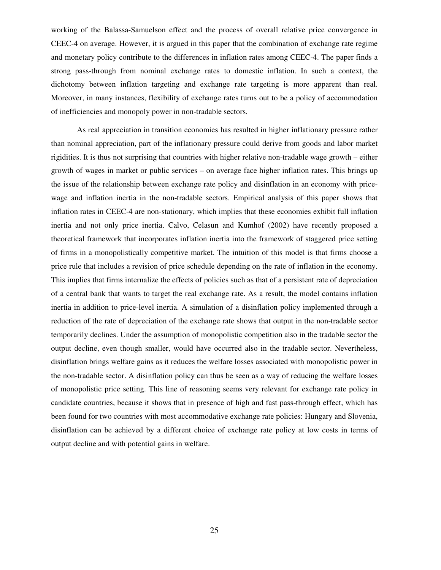working of the Balassa-Samuelson effect and the process of overall relative price convergence in CEEC-4 on average. However, it is argued in this paper that the combination of exchange rate regime and monetary policy contribute to the differences in inflation rates among CEEC-4. The paper finds a strong pass-through from nominal exchange rates to domestic inflation. In such a context, the dichotomy between inflation targeting and exchange rate targeting is more apparent than real. Moreover, in many instances, flexibility of exchange rates turns out to be a policy of accommodation of inefficiencies and monopoly power in non-tradable sectors.

As real appreciation in transition economies has resulted in higher inflationary pressure rather than nominal appreciation, part of the inflationary pressure could derive from goods and labor market rigidities. It is thus not surprising that countries with higher relative non-tradable wage growth – either growth of wages in market or public services – on average face higher inflation rates. This brings up the issue of the relationship between exchange rate policy and disinflation in an economy with pricewage and inflation inertia in the non-tradable sectors. Empirical analysis of this paper shows that inflation rates in CEEC-4 are non-stationary, which implies that these economies exhibit full inflation inertia and not only price inertia. Calvo, Celasun and Kumhof (2002) have recently proposed a theoretical framework that incorporates inflation inertia into the framework of staggered price setting of firms in a monopolistically competitive market. The intuition of this model is that firms choose a price rule that includes a revision of price schedule depending on the rate of inflation in the economy. This implies that firms internalize the effects of policies such as that of a persistent rate of depreciation of a central bank that wants to target the real exchange rate. As a result, the model contains inflation inertia in addition to price-level inertia. A simulation of a disinflation policy implemented through a reduction of the rate of depreciation of the exchange rate shows that output in the non-tradable sector temporarily declines. Under the assumption of monopolistic competition also in the tradable sector the output decline, even though smaller, would have occurred also in the tradable sector. Nevertheless, disinflation brings welfare gains as it reduces the welfare losses associated with monopolistic power in the non-tradable sector. A disinflation policy can thus be seen as a way of reducing the welfare losses of monopolistic price setting. This line of reasoning seems very relevant for exchange rate policy in candidate countries, because it shows that in presence of high and fast pass-through effect, which has been found for two countries with most accommodative exchange rate policies: Hungary and Slovenia, disinflation can be achieved by a different choice of exchange rate policy at low costs in terms of output decline and with potential gains in welfare.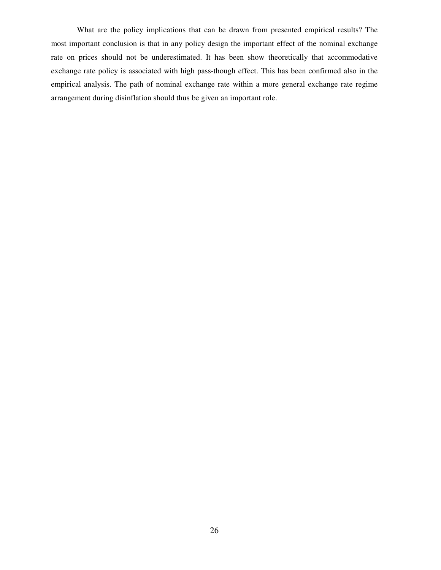What are the policy implications that can be drawn from presented empirical results? The most important conclusion is that in any policy design the important effect of the nominal exchange rate on prices should not be underestimated. It has been show theoretically that accommodative exchange rate policy is associated with high pass-though effect. This has been confirmed also in the empirical analysis. The path of nominal exchange rate within a more general exchange rate regime arrangement during disinflation should thus be given an important role.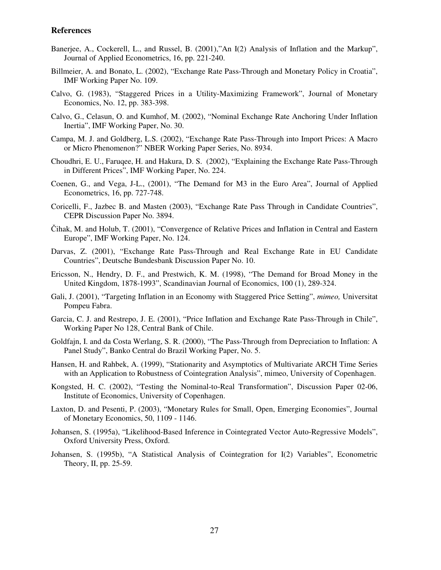#### **References**

- Banerjee, A., Cockerell, L., and Russel, B. (2001),"An I(2) Analysis of Inflation and the Markup", Journal of Applied Econometrics, 16, pp. 221-240.
- Billmeier, A. and Bonato, L. (2002), "Exchange Rate Pass-Through and Monetary Policy in Croatia", IMF Working Paper No. 109.
- Calvo, G. (1983), "Staggered Prices in a Utility-Maximizing Framework", Journal of Monetary Economics, No. 12, pp. 383-398.
- Calvo, G., Celasun, O. and Kumhof, M. (2002), "Nominal Exchange Rate Anchoring Under Inflation Inertia", IMF Working Paper, No. 30.
- Campa, M. J. and Goldberg, L.S. (2002), "Exchange Rate Pass-Through into Import Prices: A Macro or Micro Phenomenon?" NBER Working Paper Series, No. 8934.
- Choudhri, E. U., Faruqee, H. and Hakura, D. S. (2002), "Explaining the Exchange Rate Pass-Through in Different Prices", IMF Working Paper, No. 224.
- Coenen, G., and Vega, J-L., (2001), "The Demand for M3 in the Euro Area", Journal of Applied Econometrics, 16, pp. 727-748.
- Coricelli, F., Jazbec B. and Masten (2003), "Exchange Rate Pass Through in Candidate Countries", CEPR Discussion Paper No. 3894.
- Čihak, M. and Holub, T. (2001), "Convergence of Relative Prices and Inflation in Central and Eastern Europe", IMF Working Paper, No. 124.
- Darvas, Z. (2001), "Exchange Rate Pass-Through and Real Exchange Rate in EU Candidate Countries", Deutsche Bundesbank Discussion Paper No. 10.
- Ericsson, N., Hendry, D. F., and Prestwich, K. M. (1998), "The Demand for Broad Money in the United Kingdom, 1878-1993", Scandinavian Journal of Economics, 100 (1), 289-324.
- Gali, J. (2001), "Targeting Inflation in an Economy with Staggered Price Setting", *mimeo,* Universitat Pompeu Fabra.
- Garcia, C. J. and Restrepo, J. E. (2001), "Price Inflation and Exchange Rate Pass-Through in Chile", Working Paper No 128, Central Bank of Chile.
- Goldfajn, I. and da Costa Werlang, S. R. (2000), "The Pass-Through from Depreciation to Inflation: A Panel Study", Banko Central do Brazil Working Paper, No. 5.
- Hansen, H. and Rahbek, A. (1999), "Stationarity and Asymptotics of Multivariate ARCH Time Series with an Application to Robustness of Cointegration Analysis", mimeo, University of Copenhagen.
- Kongsted, H. C. (2002), "Testing the Nominal-to-Real Transformation", Discussion Paper 02-06, Institute of Economics, University of Copenhagen.
- Laxton, D. and Pesenti, P. (2003), "Monetary Rules for Small, Open, Emerging Economies", Journal of Monetary Economics, 50, 1109 - 1146.
- Johansen, S. (1995a), "Likelihood-Based Inference in Cointegrated Vector Auto-Regressive Models", Oxford University Press, Oxford.
- Johansen, S. (1995b), "A Statistical Analysis of Cointegration for I(2) Variables", Econometric Theory, II, pp. 25-59.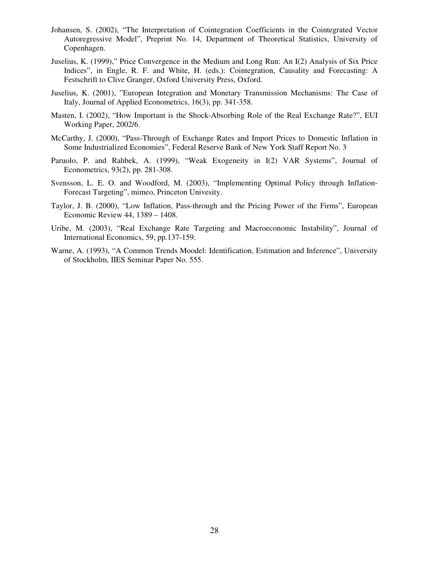- Johansen, S. (2002), "The Interpretation of Cointegration Coefficients in the Cointegrated Vector Autoregressive Model", Preprint No. 14, Department of Theoretical Statistics, University of Copenhagen.
- Juselius, K. (1999)," Price Convergence in the Medium and Long Run: An I(2) Analysis of Six Price Indices", in Engle, R. F. and White, H. (eds.): Cointegration, Causality and Forecasting: A Festschrift to Clive Granger, Oxford University Press, Oxford.
- Juselius, K. (2001), "European Integration and Monetary Transmission Mechanisms: The Case of Italy, Journal of Applied Econometrics, 16(3), pp. 341-358.
- Masten, I. (2002), "How Important is the Shock-Absorbing Role of the Real Exchange Rate?", EUI Working Paper, 2002/6.
- McCarthy, J. (2000), "Pass-Through of Exchange Rates and Import Prices to Domestic Inflation in Some Industrialized Economies", Federal Reserve Bank of New York Staff Report No. 3
- Paruolo, P. and Rahbek, A. (1999), "Weak Exogeneity in I(2) VAR Systems", Journal of Econometrics, 93(2), pp. 281-308.
- Svensson, L. E. O. and Woodford, M. (2003), "Implementing Optimal Policy through Inflation-Forecast Targeting", mimeo, Princeton Univesity.
- Taylor, J. B. (2000), "Low Inflation, Pass-through and the Pricing Power of the Firms", European Economic Review 44, 1389 – 1408.
- Uribe, M. (2003), "Real Exchange Rate Targeting and Macroeconomic Instability", Journal of International Economics, 59, pp.137-159.
- Warne, A. (1993), "A Common Trends Moodel: Identification, Estimation and Inference", University of Stockholm, IIES Seminar Paper No. 555.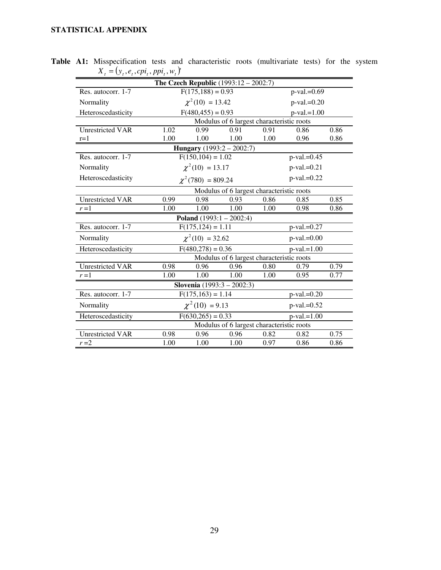## **STATISTICAL APPENDIX**

|                         |                                           |                        | <b>The Czech Republic</b> $(1993:12 - 2002:7)$ |      |                |      |
|-------------------------|-------------------------------------------|------------------------|------------------------------------------------|------|----------------|------|
| Res. autocorr. 1-7      |                                           | $F(175, 188) = 0.93$   |                                                |      | $p-value=0.69$ |      |
| Normality               |                                           | $\chi^2(10) = 13.42$   |                                                |      | $p$ -val.=0.20 |      |
| Heteroscedasticity      | $F(480, 455) = 0.93$<br>$p$ -val.=1.00    |                        |                                                |      |                |      |
|                         | Modulus of 6 largest characteristic roots |                        |                                                |      |                |      |
| <b>Unrestricted VAR</b> | 1.02                                      | 0.99                   | 0.91                                           | 0.91 | 0.86           | 0.86 |
| $r=1$                   | 1.00                                      | 1.00                   | 1.00                                           | 1.00 | 0.96           | 0.86 |
|                         |                                           |                        | <b>Hungary</b> $(1993:2 - 2002:7)$             |      |                |      |
| Res. autocorr. 1-7      |                                           | $F(150, 104) = 1.02$   |                                                |      | $p$ -val.=0.45 |      |
| Normality               |                                           | $\chi^2(10) = 13.17$   |                                                |      | $p$ -val.=0.21 |      |
| Heteroscedasticity      |                                           | $\chi^2(780) = 809.24$ |                                                |      | $p$ -val.=0.22 |      |
|                         |                                           |                        | Modulus of 6 largest characteristic roots      |      |                |      |
| Unrestricted VAR        | 0.99                                      | 0.98                   | 0.93                                           | 0.86 | 0.85           | 0.85 |
| $r=1$                   | 1.00                                      | 1.00                   | 1.00                                           | 1.00 | 0.98           | 0.86 |
|                         |                                           |                        | <b>Poland</b> $(1993:1 - 2002:4)$              |      |                |      |
| Res. autocorr. 1-7      |                                           | $F(175, 124) = 1.11$   |                                                |      | $p-value=0.27$ |      |
| Normality               |                                           | $\chi^2(10) = 32.62$   |                                                |      | $p$ -val.=0.00 |      |
| Heteroscedasticity      |                                           | $F(480,278) = 0.36$    |                                                |      | $p$ -val.=1.00 |      |
|                         |                                           |                        | Modulus of 6 largest characteristic roots      |      |                |      |
| <b>Unrestricted VAR</b> | 0.98                                      | 0.96                   | 0.96                                           | 0.80 | 0.79           | 0.79 |
| $r=1$                   | 1.00                                      | 1.00                   | 1.00                                           | 1.00 | 0.95           | 0.77 |
|                         |                                           |                        | <b>Slovenia</b> $(1993:3 - 2002:3)$            |      |                |      |
| Res. autocorr. 1-7      |                                           | $F(175, 163) = 1.14$   |                                                |      | $p$ -val.=0.20 |      |
| Normality               |                                           | $\chi^2(10) = 9.13$    |                                                |      | $p$ -val.=0.52 |      |
| Heteroscedasticity      |                                           | $F(630,265) = 0.33$    |                                                |      | $p$ -val.=1.00 |      |
|                         |                                           |                        | Modulus of 6 largest characteristic roots      |      |                |      |
| <b>Unrestricted VAR</b> | 0.98                                      | 0.96                   | 0.96                                           | 0.82 | 0.82           | 0.75 |
| $r = 2$                 | 1.00                                      | 1.00                   | 1.00                                           | 0.97 | 0.86           | 0.86 |

**Table A1:** Misspecification tests and characteristic roots (multivariate tests) for the system  $X_t = (y_t, e_t, cpi_t, ppi_t, ppi_t, w_t)$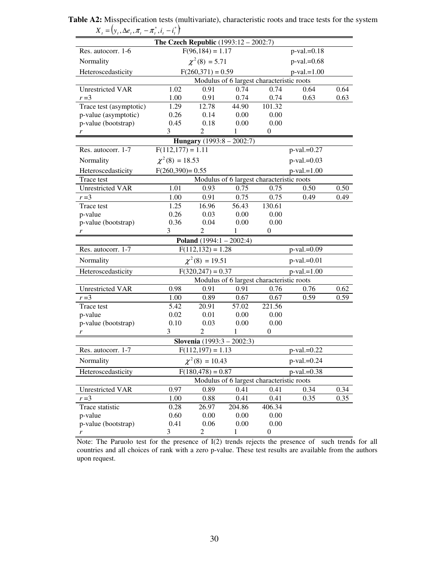|                          | The Czech Republic $(1993:12 - 2002:7)$ |                                |                                           |                          |                |      |
|--------------------------|-----------------------------------------|--------------------------------|-------------------------------------------|--------------------------|----------------|------|
| Res. autocorr. 1-6       |                                         | $F(96, 184) = 1.17$            |                                           |                          | $p$ -val.=0.18 |      |
| Normality                |                                         | $\chi^2(8) = 5.71$             |                                           |                          | $p-value=0.68$ |      |
| Heteroscedasticity       |                                         | $F(260,371) = 0.59$            |                                           |                          | $p$ -val.=1.00 |      |
|                          |                                         |                                | Modulus of 6 largest characteristic roots |                          |                |      |
| <b>Unrestricted VAR</b>  | 1.02                                    | 0.91                           | 0.74                                      | 0.74                     | 0.64           | 0.64 |
| $r = 3$                  | 1.00                                    | 0.91                           | 0.74                                      | 0.74                     | 0.63           | 0.63 |
| Trace test (asymptotic)  | 1.29                                    | 12.78                          | 44.90                                     | 101.32                   |                |      |
| p-value (asymptotic)     | 0.26                                    | 0.14                           | 0.00                                      | 0.00                     |                |      |
| p-value (bootstrap)      | 0.45                                    | 0.18                           | 0.00                                      | 0.00                     |                |      |
|                          | 3                                       | 2                              | 1                                         | $\boldsymbol{0}$         |                |      |
|                          |                                         |                                | Hungary $(1993:8 - 2002:7)$               |                          |                |      |
| Res. autocorr. 1-7       | $F(112,177) = 1.11$                     |                                |                                           |                          | p-val.=0.27    |      |
| Normality                | $\chi^2(8) = 18.53$                     |                                |                                           |                          | $p$ -val.=0.03 |      |
| Heteroscedasticity       | $F(260,390) = 0.55$                     |                                |                                           |                          | $p$ -val.=1.00 |      |
| Trace test               |                                         |                                | Modulus of 6 largest characteristic roots |                          |                |      |
| <b>Unrestricted VAR</b>  | 1.01                                    | 0.93                           | 0.75                                      | 0.75                     | 0.50           | 0.50 |
| $r = 3$                  | 1.00                                    | 0.91                           | 0.75                                      | 0.75                     | 0.49           | 0.49 |
| Trace test               | 1.25                                    | 16.96                          | 56.43                                     | 130.61                   |                |      |
| p-value                  | 0.26                                    | 0.03                           | 0.00                                      | 0.00                     |                |      |
| p-value (bootstrap)      | 0.36                                    | 0.04                           | 0.00                                      | 0.00                     |                |      |
|                          | 3                                       | 2                              | 1                                         | $\boldsymbol{0}$         |                |      |
|                          |                                         | Poland $(1994:1 - 2002:4)$     |                                           |                          |                |      |
|                          |                                         |                                |                                           |                          |                |      |
| Res. autocorr. 1-7       |                                         | $F(112, 132) = 1.28$           |                                           |                          | $p-value=0.09$ |      |
| Normality                |                                         | $\chi^2(8) = 19.51$            |                                           |                          | $p$ -val.=0.01 |      |
| Heteroscedasticity       |                                         | $F(320, 247) = 0.37$           |                                           |                          | $p$ -val.=1.00 |      |
|                          |                                         |                                | Modulus of 6 largest characteristic roots |                          |                |      |
| <b>Unrestricted VAR</b>  | 0.98                                    | 0.91                           | 0.91                                      | 0.76                     | 0.76           | 0.62 |
| $r = 3$                  | 1.00                                    | 0.89                           | 0.67                                      | 0.67                     | 0.59           | 0.59 |
| Trace test               | 5.42                                    | 20.91                          | 57.02                                     | 221.56                   |                |      |
| p-value                  | 0.02                                    | 0.01                           | 0.00                                      | 0.00                     |                |      |
| p-value (bootstrap)      | 0.10                                    | 0.03                           | 0.00                                      | 0.00                     |                |      |
|                          | 3                                       | $\overline{c}$                 | 1                                         | $\boldsymbol{0}$         |                |      |
|                          |                                         |                                | <b>Slovenia</b> $(1993:3 - 2002:3)$       |                          |                |      |
| Res. autocorr. 1-7       |                                         | $F(112,197) = 1.\overline{13}$ |                                           |                          | p-val.=0.22    |      |
| Normality                |                                         | $\chi^2(8) = 10.43$            |                                           |                          | p-val.=0.24    |      |
| Heteroscedasticity       |                                         | $F(180, 478) = 0.87$           |                                           |                          | $p$ -val.=0.38 |      |
|                          |                                         |                                | Modulus of 6 largest characteristic roots |                          |                |      |
| <b>Unrestricted VAR</b>  | 0.97                                    | 0.89                           | 0.41                                      | 0.41                     | 0.34           | 0.34 |
| $r = 3$                  | 1.00                                    | 0.88                           | 0.41                                      | 0.41                     | 0.35           | 0.35 |
| Trace statistic          | 0.28                                    | 26.97                          | 204.86                                    | 406.34                   |                |      |
| p-value                  | 0.60                                    | 0.00                           | 0.00                                      | 0.00                     |                |      |
| p-value (bootstrap)<br>r | 0.41<br>3                               | 0.06<br>$\overline{c}$         | 0.00<br>1                                 | 0.00<br>$\boldsymbol{0}$ |                |      |

**Table A2:** Misspecification tests (multivariate), characteristic roots and trace tests for the system  $X_t = (y_t, \Delta e_t, \pi_t - \pi_t^*, i_t - i_t^*)$ 

Note: The Paruolo test for the presence of I(2) trends rejects the presence of such trends for all countries and all choices of rank with a zero p-value. These test results are available from the authors upon request.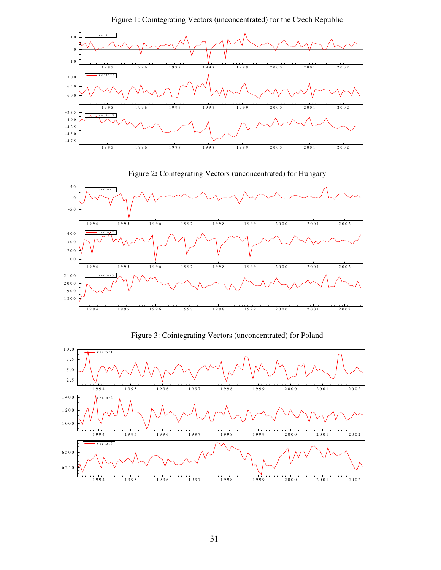

Figure 1: Cointegrating Vectors (unconcentrated) for the Czech Republic

Figure 2**:** Cointegrating Vectors (unconcentrated) for Hungary